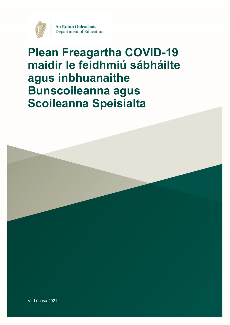

An Roinn Oideachais Department of Education

# **Plean Freagartha COVID-19 maidir le feidhmiú sábháilte agus inbhuanaithe Bunscoileanna agus Scoileanna Speisialta**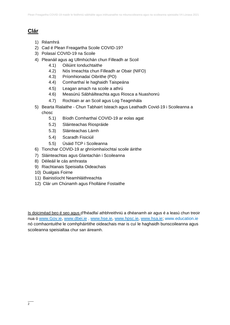# **Clár**

- 1) Réamhrá
- 2) Cad é Plean Freagartha Scoile COVID-19?
- 3) Polasaí COVID-19 na Scoile
- 4) Pleanáil agus ag Ullmhúchán chun Filleadh ar Scoil
	- 4.1) Oiliúint Ionduchtaithe
	- 4.2) Nós Imeachta chun Filleadh ar Obair (NIFO)
	- 4.3) Príomhionadaí Oibrithe (PO)
	- 4.4) Comharthaí le haghaidh Taispeána
	- 4.5) Leagan amach na scoile a athrú
	- 4.6) Measúnú Sábháilteachta agus Riosca a Nuashonrú
	- 4.7) Rochtain ar an Scoil agus Log Teagmhála
- 5) Bearta Rialaithe Chun Tabhairt Isteach agus Leathadh Covid-19 i Scoileanna a chosc
	- 5.1) Bíodh Comharthaí COVID-19 ar eolas agat
	- 5.2) Sláinteachas Riospráide
	- 5.3) Sláinteachas Lámh
	- 5.4) Scaradh Fisiciúil
	- 5.5) Úsáid TCP i Scoileanna
- 6) Tionchar COVID-19 ar ghníomhaíochtaí scoile áirithe
- 7) Sláinteachtas agus Glantachán i Scoileanna
- 8) Déileáil le cás amhrasta
- 9) Riachtanais Speisialta Oideachais
- 10) Dualgais Foirne
- 11) Bainistíocht Neamhláithreachta
- 12) Clár um Chúnamh agus Fholláine Fostaithe

Is doiciméad beo é seo agus d'fhéadfaí athbhreithniú a dhéanamh air agus é a leasú chun treoir nua ó [www.Gov.ie,](http://www.gov.ie/) [www.dbei.ie](http://www.dbei.ie/) , [www.hse.ie,](http://www.hse.ie/) [www.hpsc.ie,](http://www.hpsc.ie/) [www.hsa.ie;](http://www.hsa.ie/) [www.education.ie](http://www.education.ie/) nó comhaontuithe le comhpháirtithe oideachais mar is cuí le haghaidh bunscoileanna agus scoileanna speisialtaa chur san áireamh.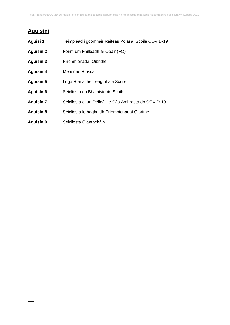# **Aguisíní**

| Aguisí 1         | Teimpléad i gcomhair Ráiteas Polasaí Scoile COVID-19 |
|------------------|------------------------------------------------------|
| <b>Aguisín 2</b> | Foirm um Fhilleadh ar Obair (FO)                     |
| Aguisín 3        | Príomhionadaí Oibrithe                               |
| Aguisín 4        | Measúnú Riosca                                       |
| Aguisín 5        | Loga Rianaithe Teagmhála Scoile                      |
| Aguisín 6        | Seicliosta do Bhainisteoirí Scoile                   |
| <b>Aguisín 7</b> | Seicliosta chun Déileáil le Cás Amhrasta do COVID-19 |
| Aguisín 8        | Seicliosta le haghaidh Príomhionadaí Oibrithe        |
| Aguisín 9        | Seicliosta Glantacháin                               |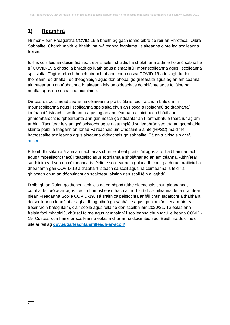# **1) Réamhrá**

Ní mór Plean Freagartha COVID-19 a bheith ag gach ionad oibre de réir an Phrótacail Oibre Sábháilte. Chomh maith le bheith ina n-áiteanna foghlama, is áiteanna oibre iad scoileanna freisin.

Is é is cúis leis an doiciméid seo treoir shoiléir chuidiúil a sholáthar maidir le hoibriú sábháilte trí COVID-19 a chosc, a bhrath go luath agus a smachtú i mbunscoileanna agus i scoileanna speisialta. Tugtar príomhtheachtaireachtaí ann chun riosca COVID-19 a íoslaghdú don fhoireann, do dhaltaí, do theaghlaigh agus don phobal go ginearálta agus ag an am céanna aithnítear ann an tábhacht a bhaineann leis an oideachais do shláinte agus folláine na ndaltaí agus na sochaí ina hiomláine.

Dírítear sa doiciméad seo ar na céimeanna praiticiúla is féidir a chur i bhfeidhm i mbunscoileanna agus i scoileanna speisialta chun an riosca a íoslaghdú go dtabharfaí ionfhabhtú isteach i scoileanna agus ag an am céanna a aithint nach bhfuil aon ghníomhaíocht idirphearsanta ann gan riosca go ndéanfar an t-ionfhabhtú a tharchur ag am ar bith. Tacaítear leis an gcáipéisíocht agus na teimpléid sa leabhrán seo tríd an gcomhairle sláinte poiblí a thagann ón Ionad Faireachais um Chosaint Sláinte (HPSC) maidir le hathoscailte scoileanna agus áiseanna oideachais go sábháilte. Tá an tuairisc sin ar fáil [anseo.](https://assets.gov.ie/82096/e4e85f2e-88b8-4c37-8591-0bc517d88cf6.pdf)

Príomhdhúshlán atá ann an riachtanas chun leibhéal praiticiúil agus airdill a bhaint amach agus timpeallacht thacúil teagaisc agus foghlama a sholáthar ag an am céanna. Aithnítear sa doiciméad seo na céimeanna is féidir le scoileanna a ghlacadh chun gach rud praiticiúil a dhéanamh gan COVID-19 a thabhairt isteach sa scoil agus na céimeanna is féidir a ghlacadh chun an dóchúlacht go scaipfear laistigh den scoil féin a laghdú.

D'oibrigh an Roinn go dícheallach leis na comhpháirtithe oideachais chun pleananna, comhairle, prótacail agus treoir chomhsheasmhach a fhorbairt do scoileanna, lena n-áirítear plean Freagartha Scoile COVID-19. Tá sraith caipéisíochta ar fáil chun tacaíocht a thabhairt do scoileanna leanúint ar aghaidh ag oibriú go sábháilte agus go hiomlán, lena n-áirítear treoir faoin bhfoghlaim, cláir scoile agus folláine don scoilbhliain 2020/21. Tá eolas ann freisin faoi mhaoiniú, chúrsaí foirne agus acmhainní i scoileanna chun tacú le bearta COVID-19. Cuirtear comhairle ar scoileanna eolas a chur ar na doiciméid seo. Beidh na doiciméid uile ar fáil ag **[gov.ie/ga/feachtais/filleadh-ar-scoil/](https://www.gov.ie/ga/feachtais/filleadh-ar-scoil/)**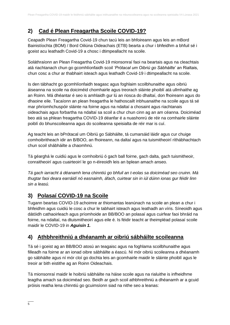# **2) Cad é Plean Freagartha Scoile COVID-19?**

Ceapadh Plean Freagartha Covid-19 chun tacú leis an bhfoireann agus leis an mBord Bainistíochta (BOM) / Bord Oiliúna Oideachais (ETB) bearta a chur i bhfeidhm a bhfuil sé i gceist acu leathadh Covid-19 a chosc i dtimpeallacht na scoile.

Soláthraíonn an Plean Freagartha Covid-19 mionsonraí faoi na beartais agus na cleachtais atá riachtanach chun go gcomhlíonfaidh scoil *'Prótacal um Oibriú go Sábháilte*' an Rialtais, chun cosc a chur ar thabhairt isteach agus leathadh Covid-19 i dtimpeallacht na scoile.

Is den tábhacht go gcomhlíonfaidh teagasc agus foghlaim scoilbhunaithe agus oibriú áiseanna na scoile na doiciméid chomhairle agus treorach sláinte phoiblí atá ullmhaithe ag an Roinn. Má dhéantar é seo is amhlaidh gur lú an riosca do dhaltaí, don fhoireann agus do dhaoine eile. Tacaíonn an plean freagartha le hathoscailt inbhuanaithe na scoile agus tá sé mar phríomhchuspóir sláinte na foirne agus na ndaltaí a chosaint agus riachtanais oideachais agus forbartha na ndaltaí sa scoil a chur chun cinn ag an am céanna. Doiciméad beo atá sa phlean freagartha COVID-19 déanfar é a nuashonrú de réir na comhairle sláinte poiblí do bhunscoileanna agus do scoileanna speisialta de réir mar is cuí.

Ag teacht leis an bPrótacal um Oibriú go Sábháilte, tá cumarsáid láidir agus cur chuige comhoibritheach idir an B/BOO, an fhoireann, na daltaí agus na tuismitheoirí ríthábhachtach chun scoil shábháilte a chaomhnú.

Tá géarghá le cuidiú agus le comhoibriú ó gach ball foirne, gach dalta, gach tuismitheoir, conraitheoirí agus cuairteoirí le go n-éireoidh leis an bplean amach anseo.

*Tá gach iarracht á déanamh lena chinntiú go bhfuil an t-eolas sa doiciméad seo cruinn. Má thugtar faoi deara earráidí nó easnaimh, áfach, cuirtear sin in iúl dúinn ionas gur féidir linn sin a leasú.*

# **3) Polasaí COVID-19 na Scoile**

Tugann beartas COVID-19 achoimre ar thiomantas leanúnach na scoile an plean a chur i bhfeidhm agus cuidiú le cosc a chur le tabhairt isteach agus leathadh an víris. Síneoidh agus dátóidh cathaoirleach agus príomhoide an BB/BOO an polasaí agus cuirfear faoi bhráid na foirne, na ndaltaí, na dtuismitheoirí agus eile é. Is féidir teacht ar theimpléad polasaí scoile maidir le COVID-19 in *Aguisín 1.*

# **4) Athbhreithniú a dhéanamh ar oibriú sábháilte scoileanna**

Tá sé i gceist ag an BB/BOO atosú an teagaisc agus na foghlama scoilbhunaithe agus filleadh na foirne ar an ionad oibre sábháilte a éascú. Ní mór oibriú scoileanna a dhéanamh go sábháilte agus ní mór cloí go dochta leis an gcomhairle maidir le sláinte phoiblí agus le treoir ar bith eistithe ag an Roinn Oideachais.

Tá mionsonraí maidir le hoibriú sábháilte na háise scoile agus na rialuithe is infheidhme leagtha amach sa doiciméad seo. Beidh ar gach scoil athbhreithniú a dhéanamh ar a gcuid próisis reatha lena chinntiú go gcuimsíonn siad na nithe seo a leanas: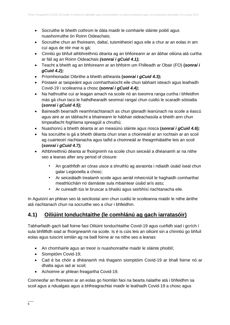- Socruithe le bheith cothrom le dáta maidir le comhairle sláinte poiblí agus nuashonruithe ón Roinn Oideachais;
- Socruithe chun an fhoireann, daltaí, tuismitheoirí agus eile a chur ar an eolas in am cuí agus de réir mar is gá;
- Cinntiú go bhfuil athbhreithniú déanta ag an bhfoireann ar an ábhar oiliúna atá curtha ar fáil ag an Roinn Oideachais *(sonraí i gCuid 4.1);*
- Teacht a bheith ag an bhfoireann ar an bhfoirm um Fhilleadh ar Obair (FO) **(***sonraí i gCuid 4.2);*
- Príomhionadaí Oibrithe a bheith aitheanta **(***sonraí i gCuid 4.3);*
- Póstaeir ar taispeáint agus comharthaíocht eile chun tabhairt isteach agus leathadh Covid-19 i scoileanna a chosc **(***sonraí i gCuid 4.4);*
- Na hathruithe cuí ar leagan amach na scoile nó an tseomra ranga curtha i bhfeidhm más gá chun tacú le hathdhearadh seomraí rangaí chun cuidiú le scaradh sóisialta **(***sonraí i gCuid 4.5);*
- Baineadh bearradh neamhriachtanach as chun glanadh leanúnach na scoile a éascú agus aire ar an tábhacht a bhaineann le hábhair oideachasúla a bheith ann chun timpeallacht foghlama spreagúil a chruthú;
- Nuashonrú a bheith déanta ar an measúnú sláinte agus riosca **(***sonraí i gCuid 4.6);*
- Na socruithe is gá a bheith déanta chun srian a choinneáil ar an rochtain ar an scoil ag cuairteoirí riachtanacha agus taifid a choinneáil ar theagmhálaithe leis an scoil **(***sonraí i gCuid 4.7);*
- Athbhreithniú déanta ar fhoirgnimh na scoile chun seiceáil a dhéanamh ar na nithe seo a leanas after any period of closure:
	- An gcaithfidh an córas uisce a shruthlú ag asraonta i ndiaidh úsáid íseal chun galar Legionella a chosc;
	- Ar seiceáladh trealamh scoile agus aeráil mheicniúil le haghaidh comharthaí meathlúcháin nó damáiste sula mbaintear úsáid arís astu;
	- Ar cuireadh tús le bruscar a bhailiú agus seirbhísí riachtanacha eile.

In Aguisíní an phlean seo tá seicliostaí ann chun cuidiú le scoileanna maidir le nithe áirithe atá riachtanach chun na socruithe seo a chur i bhfeidhm.

# **4.1) Oiliúint Ionduchtaithe (le comhlánú ag gach iarratasóir)**

Tabharfaidh gach ball foirne faoi Oiliúint Ionduchtaithe Covid-19 agus cuirfidh siad i gcrích í sula bhfillfidh siad ar fhoirgneamh na scoile. Is é is cúis leis an oiliúint sin a chinntiú go bhfuil eolas agus tuiscint iomlán ag na baill foirne ar na nithe seo a leanas:

- An chomhairle agus an treoir is nuashonraithe maidir le sláinte phoiblí;
- Siomptóim Covid-19;
- Cad é ba chóir a dhéanamh má thagann siomptóim Covid-19 ar bhall foirne nó ar dhalta agus iad ar scoil;
- Achoimre ar phlean freagartha Covid-19.

Coinneofar an fhoireann ar an eolas go hiomlán faoi na bearta rialaithe atá i bhfeidhm sa scoil agus a ndualgais agus a bhfreagrachtaí maidir le leathadh Covid-19 a chosc agus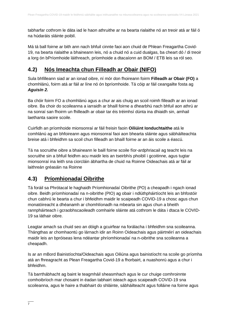tabharfar cothrom le dáta iad le haon athruithe ar na bearta rialaithe nó an treoir atá ar fáil ó na húdaráis sláinte poiblí.

Má tá ball foirne ar bith ann nach bhfuil cinnte faoi aon chuid de Phlean Freagartha Covid-19, na bearta rialaithe a bhaineann leis, nó a chuid nó a cuid dualgas, ba cheart dó / di treoir a lorg ón bPríomhoide láithreach, príomhoide a dtacaíonn an BOM / ETB leis sa ról seo.

# **4.2) Nós Imeachta chun Filleadh ar Obair (NIFO)**

Sula bhfilleann siad ar an ionad oibre, ní mór don fhoireann foirm **Filleadh ar Obair (FO)** a chomhlánú, foirm atá ar fáil ar líne nó ón bpríomhoide. Tá cóip ar fáil ceangailte fosta ag *Aguisín 2.*

Ba chóir foirm FO a chomhlánú agus a chur ar ais chuig an scoil roimh filleadh ar an ionad oibre. Ba choir do scoileanna a iarraidh ar bhaill foirne a dhearbhú nach bhfuil aon athrú ar na sonraí san fhoirm un fhilleadh ar obair tar éis tréimhsí dúnta ina dhiaidh sin, amhail laethanta saoire scoile.

Cuirfidh an príomhoide mionsonraí ar fáil freisin faoin **Oiliúint Ionduchtaithe** atá le comhlánú ag an bhfoireann agus mionsonraí faoi aon bhearta sláinte agus sábháilteachta breise atá i bhfeidhm sa scoil chun filleadh an bhaill foirne ar an áis scoile a éascú.

Tá na socruithe oibre a bhaineann le baill foirne scoile fíor-ardphriacail ag teacht leis na socruithe sin a bhfuil feidhm acu maidir leis an tseirbhís phoiblí i gcoitinne, agus tugtar mionsonraí ina leith sna ciorcláin ábhartha de chuid na Roinne Oideachais atá ar fáil ar laithreán gréasáin na Roinne

# **4.3) Príomhionadaí Oibrithe**

Tá foráil sa Phrótacal le haghaidh Príomhionadaí Oibrithe (PO) a cheapadh i ngach ionad oibre. Beidh príomhionadaí na n-oibrithe (PIO) ag obair i ndlúthpháirtíocht leis an bhfostóir chun cabhrú le bearta a chur i bhfeidhm maidir le scaipeadh COVID-19 a chosc agus chun monatóireacht a dhéanamh ar chomhlíonadh na mbearta sin agus chun a bheith rannpháirteach i gcraobhscaoileadh comhairle sláinte atá cothrom le dáta i dtaca le COVID-19 sa láthair oibre.

Leagtar amach sa chuid seo an dóigh a gcuirfear na forálacha i bhfeidhm sna scoileanna. Thángthas ar chomhaontú go lárnach idir an Roinn Oideachais agus páirtnéirí an oideachais maidir leis an bpróiseas lena ndéantar phríomhionadaí na n-oibrithe sna scoileanna a cheapadh.

Is ar an mBord Bainistíochta/Oideachais agus Oiliúna agus bainistíocht na scoile go príomha atá an fhreagracht as Plean Freagartha Covid-19 a fhorbairt, a nuashonrú agus a chur i bhfeidhm.

Tá barrthábhacht ag baint le teagmháil sheasmhach agus le cur chuige comhroinnte comhoibríoch mar chosaint in éadan tabhairt isteach agus scaipeadh COVID-19 sna scoileanna, agus le haire a thabhairt do shláinte, sábháilteacht agus folláine na foirne agus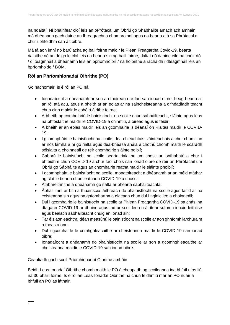na ndaltaí. Ní bhainfear cloí leis an bPrótacal um Obriú go Shábháilte amach ach amháin má dhéanann gach duine an fhreagracht a chomhroinnt agus na bearta atá sa Phrótacal a chur i bhfeidhm san áit oibre.

Má tá aon imní nó barúlacha ag ball foirne maidir le Plean Freagartha Covid-19, bearta rialaithe nó an dóigh le cloí leis na bearta sin ag baill foirne, daltaí nó daoine eile ba chóir dó / di teagmháil a dhéanamh leis an bpríomhoibrí / na hoibrithe a rachaidh i dteagmháil leis an bpríomhoide / BOM.

### **Ról an Phríomhionadaí Oibrithe (PO)**

Go hachomair, is é ról an PO ná:

- Ionadaíocht a dhéanamh ar son an fhoireann ar fad san ionad oibre, beag beann ar an ról atá acu, agus a bheith ar an eolas ar na saincheisteanna a d'fhéadfadh teacht chun cinn maidir le cohóirt áirithe foirne;
- A bheith ag comhoibriú le bainistíocht na scoile chun sábháilteacht, sláinte agus leas na bhfostaithe maidir le COVID-19 a chinntiú, a oiread agus is féidir;
- A bheith ar an eolas maidir leis an gcomhairle is déanaí ón Rialtas maidir le COVID-19;
- I gcomhpháirt le bainistíocht na scoile, dea-chleachtais sláinteachais a chur chun cinn ar nós lámha a ní go rialta agus dea-bhéasa anála a chothú chomh maith le scaradh sóisialta a choinneáil de réir chomhairle sláinte poiblí;
- Cabhrú le bainistíocht na scoile bearta rialaithe um chosc ar ionfhabhtú a chur i bhfeidhm chun COVID-19 a chur faoi chois san ionad oibre de réir an Phrótacail um Obriú go Sábháilte agus an chomhairle reatha maidir le sláinte phoiblí;
- I gcomhpháirt le bainistíocht na scoile, monatóireacht a dhéanamh ar an méid atáthar ag cloí le bearta chun leathadh COVID-19 a chosc;
- Athbhreithnithe a dhéanamh go rialta ar bhearta sábháilteachta;
- Ábhar imní ar bith a thuairisciú láithreach do bhainistíocht na scoile agus taifid ar na ceisteanna sin agus na gníomhartha a glacadh chun dul i ngleic leo a choinneáil;
- Dul i gcomhairle le bainistíocht na scoile ar Phlean Freagartha COVID-19 sa chás ina dtagann COVID-19 ar dhuine agus iad ar scoil lena n-áirítear suíomh ionaid leithlise agus bealach sábháilteacht chuig an ionad sin;
- Tar éis aon eachtra, déan measúnú le bainistíocht na scoile ar aon ghníomh iarchúraim a theastaíonn;
- Dul i gcomhairle le comhghleacaithe ar cheisteanna maidir le COVID-19 san ionad oibre;
- Ionadaíocht a dhéanamh do bhainistíocht na scoile ar son a gcomhghleacaithe ar cheisteanna maidir le COVID-19 san ionad oibre.

Ceapfiadh gach scoil Príomhionadaí Oibrithe amháin

Beidh Leas-Ionadaí Oibrithe chomh maith le PO á cheapadh ag scoileanna ina bhfuil níos liú ná 30 bhaill foirne. Is é ról an Leas-Ionadaí Oibrithe ná chun feidhmiú mar an PO nuair a bhfuil an PO as láthair.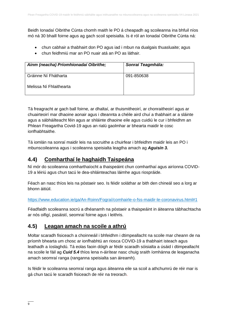Beidh Ionadaí Oibrithe Cúnta chomh maith le PO á cheapadh ag scoileanna ina bhfuil níos mó ná 30 bhaill foirne agus ag gach scoil speisialta. Is é ról an Ionadaí Oibrithe Cúnta ná:

- chun cabhair a thabhairt don PO agus iad i mbun na dualgais thuasluaite; agus
- chun feidhmiú mar an PO nuair atá an PO as láthair.

| Ainm (neacha) Príomhionadaí Oibrithe; | Sonraí Teagmhála: |
|---------------------------------------|-------------------|
| Gráinne Ní Fhátharta                  | 091-850638        |
| Melissa Ní Fhlaithearta               |                   |

Tá freagracht ar gach ball foirne, ar dhaltaí, ar thuismitheoirí, ar chonraitheoirí agus ar chuairteoirí mar dhaoine aonair agus i dteannta a chéile aird chuí a thabhairt ar a sláinte agus a sábháilteacht féin agus ar shláinte dhaoine eile agus cuidiú le cur i bhfeidhm an Phlean Freagartha Covid-19 agus an rialú gaolmhar ar bhearta maidir le cosc ionfhabhtaithe.

Tá iomlán na sonraí maidir leis na socruithe a chuirfear i bhfeidhm maidir leis an PO i mbunscoileanna agus i scoileanna speisialta leagtha amach ag *Aguisín 3.*

# **4.4) Comharthaí le haghaidh Taispeána**

Ní mór do scoileanna comharthaíocht a thaispeáint chun comharthaí agus airíonna COVID-19 a léiriú agus chun tacú le dea-shláinteachas láimhe agus riospráide.

Féach an nasc thíos leis na póstaeir seo. Is féidir soláthar ar bith den chineál seo a lorg ar bhonn áitiúil.

<https://www.education.ie/ga/An-Roinn/Fograí/comhairle-o-fss-maidir-le-coronavirus.html#1>

Féadfaidh scoileanna socrú a dhéanamh na póstaeir a thaispeáint in áiteanna tábhachtacha ar nós oifigí, pasáistí, seomraí foirne agus i leithris.

# **4.5) Leagan amach na scoile a athrú**

Moltar scaradh fisiceach a choinneáil i bhfeidhm i dtimpeallacht na scoile mar cheann de na príomh bhearta um chosc ar ionfhabhtú an riosca COVID-19 a thabhairt isteach agus leathadh a íoslaghdú. Tá eolas faoin dóigh ar féidir scaradh sóisialta a úsáid i dtimpeallacht na scoile le fáil ag *Cuid 5.4* thíos lena n-áirítear nasc chuig sraith íomhánna de leaganacha amach seomraí ranga (ranganna speisialta san áireamh).

Is féidir le scoileanna seomraí ranga agus áiteanna eile sa scoil a athchumrú de réir mar is gá chun tacú le scaradh fisiceach de réir na treorach.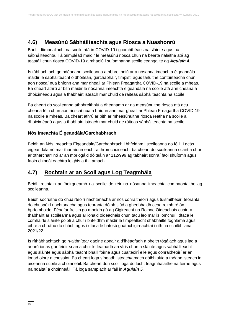# **4.6) Measúnú Sábháilteachta agus Riosca a Nuashonrú**

Baol i dtimpeallacht na scoile atá in COVID-19 i gcomhthéacs na sláinte agus na sábháilteachta. Tá teimpléad maidir le measúnú riosca chun na bearta rialaithe atá ag teastáil chun riosca COVID-19 a mhaolú i suíomhanna scoile ceangailte ag *Aguisín 4.*

Is tábhachtach go ndéanann scoileanna athbhreithniú ar a nósanna imeachta éigeandála maidir le sábháilteacht ó dhóiteán, garchabhair, timpistí agus tarluithe contúirteacha chun aon rioscaí nua bhíonn ann mar gheall ar Phlean Freagartha COVID-19 na scoile a mheas. Ba cheart athrú ar bith maidir le nósanna imeachta éigeandála na scoile atá ann cheana a dhoiciméadú agus a thabhairt isteach mar chuid de ráiteas sábháilteachta na scoile.

Ba cheart do scoileanna athbhreithniú a dhéanamh ar na measúnuithe riosca atá acu cheana féin chun aon rioscaí nua a bhíonn ann mar gheall ar Phlean Freagartha COVID-19 na scoile a mheas. Ba cheart athrú ar bith ar mheasúnuithe riosca reatha na scoile a dhoiciméadú agus a thabhairt isteach mar chuid de ráiteas sábháilteachta na scoile.

### **Nós Imeachta Éigeandála/Garchabhrach**

Beidh an Nós Imeachta Éigeandála/Garchabhrach i bhfeidhm i scoileanna go fóill. I gcás éigeandála nó mar tharlaíonn eachtra thromchúiseach, ba cheart do scoileanna scairt a chur ar otharcharr nó ar an mbriogáid dóiteáin ar 112/999 ag tabhairt sonraí faoi shuíomh agus faoin chineál eachtra leighis a thit amach.

# **4.7) Rochtain ar an Scoil agus Log Teagmhála**

Beidh rochtain ar fhoirgneamh na scoile de réir na nósanna imeachta comhaontaithe ag scoileanna.

Beidh socruithe do chuairteoirí riachtanacha ar nós conraitheoirí agus tuismitheoirí teoranta do chuspóirí riachtanacha agus teoranta dóibh siúd a gheobhaidh cead roimh ré ón bpríomhoide. Féadfar freisin go mbeidh gá ag Cigireacht na Roinne Oideachais cuairt a thabhairt ar scoileanna agus ar ionaid oideachais chun tacú leo mar is iomchuí i dtaca le comhairle sláinte poiblí a chur i bhfeidhm maidir le timpeallacht shábháilte foghlama agus oibre a chruthú do chách agus i dtaca le hatosú gnáthchigireachtaí i rith na scoilbhliana 2021/22.

Is ríthábhachtach go n-aithnítear daoine aonair a d'fhéadfadh a bheith tógálach agus iad a aonrú ionas gur féidir srian a chur le leathadh an víris chun a sláinte agus sábháilteacht agus sláinte agus sábháilteacht bhaill foirne agus cuaiteoirí eile agus conraitheoirí ar an ionad oibre a chosaint. Ba cheart loga síneadh isteach/amach dóibh siúd a théann isteach in áiseanna scoile a choinneáil. Ba cheart don scoil loga do lucht teagmhálaithe na foirne agus na ndaltaí a choinneáil. Tá loga samplach ar fáil in *Aguisín 5.*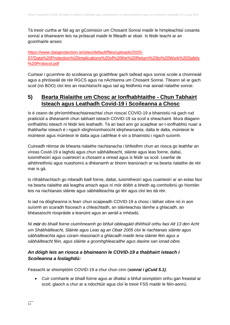Tá treoir curtha ar fáil ag an gCoimisiún um Chosaint Sonraí maidir le himpleachtaí cosanta sonraí a bhaineann leis na prótacail maidir le filleadh ar obair. Is féidir teacht ar an gcomhairle anseo:

#### [https://www.dataprotection.ie/sites/default/files/uploads/2020-](https://www.dataprotection.ie/sites/default/files/uploads/2020-07/Data%20Protection%20implications%20of%20the%20Return%20to%20Work%20Safely%20Protocol.pdf) [07/Data%20Protection%20implications%20of%20the%20Return%20to%20Work%20Safely](https://www.dataprotection.ie/sites/default/files/uploads/2020-07/Data%20Protection%20implications%20of%20the%20Return%20to%20Work%20Safely%20Protocol.pdf) [%20Protocol.pdf](https://www.dataprotection.ie/sites/default/files/uploads/2020-07/Data%20Protection%20implications%20of%20the%20Return%20to%20Work%20Safely%20Protocol.pdf)

Cuirtear i gcuimhne do scoileanna go gcaithfear gach taifead agus sonraí scoile a choinneáil agus a phróiseáil de réir RGCS agus na nAchtanna um Chosaint Sonraí. Titeann sé ar gach scoil (nó BOO) cloí leis an reachtaíocht agus iad ag feidhmiú mar aonad rialaithe sonraí.

### **5) Bearta Rialaithe um Chosc ar Ionfhabhtaithe - Chun Tabhairt Isteach agus Leathadh Covid-19 i Scoileanna a Chosc**

Is é ceann de phríomhtheachtaireachtaí chun rioscaí COVID-19 a bhainistiú ná gach rud praiticiúil a dhéanamh chun tabhairt isteach COVID-19 sa scoil a sheachaint. Mura dtagann ionfhabhtú isteach ní féidir leis leathadh. Tá an baol ann go scaipfear an t-ionfhabhtú nuair a thabharfar isteach é i ngach idirghníomhaíocht idirphearsanta; dalta le dalta, múinteoir le múinteoir agus múinteoir le dalta agus caithfear é sin a bhainistiú i ngach suíomh.

Cuireadh réimse de bhearta rialaithe riachtanacha i bhfeidhm chun an riosca go leathfar an víreas Covid-19 a laghdú agus chun sábháilteacht, sláinte agus leas foirne, daltaí, tuismitheoirí agus cuairteoirí a chosaint a oiread agus is féidir sa scoil. Leanfar de athbhreithniú agus nuashonrú a dhéanamh ar bhonn leanúnach ar na bearta rialaithe de réir mar is gá.

Is ríthábhachtach go mbeadh baill foirne, daltaí, tuismitheoirí agus cuairteoirí ar an eolas faoi na bearta rialaithe atá leagtha amach agus ní mór dóibh a bheith ag comhoibriú go hiomlán leis na riachtanais sláinte agus sábháilteachta go léir agus cloí leo dá réir.

Is iad na dóigheanna is fearr chun scaipeadh COVID-19 a chosc i láthair oibre nó in aon suíomh an scaradh fisiceach a chleachtadh, an sláinteachas láimhe a ghlacadh, an bhéasaíocht riospráide a leanúint agus an aeráil a mhéadú.

*Ní mór do bhaill foirne ciuimhneamh go bhfuil oibleagáid dhlíthiúil orthu faoi Alt 13 den Acht um Shábháilteacht, Sláinte agus Leas ag an Obair 2005 cloí le riachtanais sláinte agus sábháilteachta agus cúram réasúnach a ghlacadh maidir lena sláinte féin agus a sábháilteacht féin, agus sláinte a gcomhghleacaithe agus daoine san ionad oibre.* 

### *An dóigh leis an riosca a bhaineann le COVID-19 a thabhairt isteach i Scoileanna a Íoslaghdú:*

Feasacht ar shiomptóim COVID-19 a chur chun cinn (*sonraí i gCuid 5.1);*

• Cuir comhairle ar bhaill foirne agus ar dhaltaí a bhfuil siomptóim orthu gan freastal ar scoil, glaoch a chur ar a ndochtúir agus cloí le treoir FSS maidir le féin-aonrú;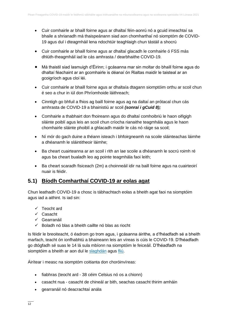- Cuir comhairle ar bhaill foirne agus ar dhaltaí féin-aonrú nó a gcuid imeachtaí sa bhaile a shrianadh má thaispeánann siad aon chomharthaí nó siomptóm de COVID-19 agus dul i dteagmháil lena ndochtúir teaghlaigh chun tástáil a shocrú
- Cuir comhairle ar bhaill foirne agus ar dhaltaí glacadh le comhairle ó FSS más dhlúth-theagmháil iad le cás amhrasta / dearbhaithe COVID-19.
- Má thaistil siad lasmuigh d'Éirinn; i gcásanna mar sin moltar do bhaill foirne agus do dhaltaí féachaint ar an gcomhairle is déanaí ón Rialtas maidir le taisteal ar an gcoigríoch agus cloí léi.
- Cuir comhairle ar bhaill foirne agus ar dhaltaía dtagann siomptóim orthu ar scoil chun é seo a chur in iúl don Phríomhoide láithreach;
- Cinntigh go bhfuil a fhios ag baill foirne agus ag na daltaí an prótacal chun cás amhrasta de COVID-19 a bhainistiú ar scoil *(sonraí i gCuid 8);*
- Comhairle a thabhairt don fhoireann agus do dhaltaí comhoibriú le haon oifigigh sláinte poiblí agus leis an scoil chun críocha rianaithe teagmhála agus le haon chomhairle sláinte phoiblí a ghlacadh maidir le cás nó ráige sa scoil;
- Ní mór do gach duine a théann isteach i bhfoirgneamh na scoile sláinteachas láimhe a dhéanamh le sláintitheoir láimhe;
- Ba cheart cuairteanna ar an scoil i rith an lae scoile a dhéanamh le socrú roimh ré agus ba cheart bualadh leo ag pointe teagmhála faoi leith;
- Ba cheart scaradh fisiceach (2m) a choinneáil idir na baill foirne agus na cuairteoirí nuair is féidir.

# **5.1) Bíodh Comharthaí COVID-19 ar eolas agat**

Chun leathadh COVID-19 a chosc is tábhachtach eolas a bheith agat faoi na siomptóim agus iad a aithint. Is iad sin:

- ✓ Teocht ard
- ✓ Casacht
- ✓ Gearranáil
- $\checkmark$  Boladh nó blas a bheith caillte nó blas as riocht

Is féidir le breoiteacht, ó éadrom go trom agus, i gcásanna áirithe, a d'fhéadfadh sé a bheith marfach, teacht ón ionfhabhtú a bhaineann leis an víreas is cúis le COVID-19. D'fhéadfadh go dtógfadh sé suas le 14 lá sula mbíonn na siomptóim le feiceáil. D'fhéadfadh na siomptóim a bheith ar aon dul le [slaghdán](https://www2.hse.ie/conditions/common-cold.html) agus [fliú.](https://www2.hse.ie/conditions/flu/flu-symptoms-and-diagnosis.html)

Áirítear i measc na siomptóm coitianta don choróinvíreas:

- fiabhras (teocht ard 38 céim Celsius nó os a chionn)
- casacht nua casacht de chineál ar bith, seachas casacht thirim amháin
- gearranáil nó deacrachtaí anála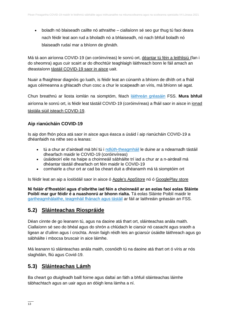• boladh nó blaiseadh caillte nó athraithe – ciallaíonn sé seo gur thug tú faoi deara nach féidir leat aon rud a bholadh nó a bhlaiseadh, nó nach bhfuil boladh nó blaiseadh rudaí mar a bhíonn de ghnáth.

Má tá aon airíonna COVID-19 (an coróinvíreas) le sonrú ort, [déantar tú féin a leithlisiú](https://www2.hse.ie/conditions/covid19/restricted-movements/how-to-self-isolate/) (fan i do sheomra) agus cuir scairt ar do dhochtúir teaghlaigh láithreach bonn le fáil amach an dteastaíonn [tástáil COVID-19 saor in aisce](https://www2.hse.ie/conditions/covid19/testing/get-tested/) uait.

Nuair a fhaightear diagnóis go luath, is féidir leat an cúnamh a bhíonn de dhíth ort a fháil agus céimeanna a ghlacadh chun cosc a chur le scaipeadh an víris, má bhíonn sé agat.

Chun breathnú ar liosta iomlán na siomptóm, féach [láithreán gréasáin](https://www2.hse.ie/conditions/covid19/symptoms/overview/) FSS. **Mura bhfuil** airíonna le sonrú ort, is féidir leat tástáil COVID-19 (coróinvíreas) a fháil saor in aisce in [ionad](https://www2.hse.ie/conditions/covid19/testing/walk-in-test-centres/)  [tástála siúil isteach COVID-19.](https://www2.hse.ie/conditions/covid19/testing/walk-in-test-centres/)

### **Aip rianúcháin COVID-19**

Is aip don fhón póca atá saor in aisce agus éasca a úsáid í aip rianúcháin COVID-19 a dhéanfaidh na nithe seo a leanas:

- tú a chur ar d'airdeall má bhí tú i [ndlúth-theagmháil](https://www2.hse.ie/conditions/covid19/contact-tracing/close-casual-contact/) le duine ar a ndearnadh tástáil dhearfach maidir le COVID-19 (coróinvíreas)
- úsáideoirí eile na haipe a choinneáil sábháilte trí iad a chur ar a n-airdeall má dhéantar tástáil dhearfach ort féin maidir le COVID-19
- comhairle a chur ort ar cad ba cheart duit a dhéanamh má tá siomptóim ort

Is féidir leat an aip a íoslódáil saor in aisce ó [Apple's AppStore](https://apps.apple.com/ie/app/covid-tracker-ireland/id1505596721) nó ó [GooglePlay store](https://play.google.com/store/apps/details?id=com.covidtracker.hse)

**Ní foláir d'fhostóirí agus d'oibrithe iad féin a choinneáil ar an eolas faoi eolas Sláinte Poiblí mar gur féidir é a nuashonrú ar bhonn rialta.** Tá eolas Sláinte Poiblí maidir le [gartheagmhálaithe, teagmháil fhánach agus tástáil](https://www2.hse.ie/conditions/covid19/contact-tracing/close-casual-contact/) ar fáil ar laithreáin gréasáin an FSS.

# **5.2) Sláinteachas Riospráide**

Déan cinnte de go leanann tú, agus na daoine atá thart ort, sláinteachas anála maith. Ciallaíonn sé seo do bhéal agus do shrón a chlúdach le ciarsúr nó casacht agus sraoth a ligean ar d'uilinn agus í crochta. Ansin faigh réidh leis an gciarsúr úsáidte láithreach agus go sábháilte i mbocsa bruscair in aice láimhe.

Má leanann tú sláinteachas anála maith, cosnóidh tú na daoine atá thart ort ó víris ar nós slaghdáin, fliú agus Covid-19.

# **5.3) Sláinteachas Lámh**

Ba cheart go dtuigfeadh baill foirne agus daltaí an fáth a bhfuil sláinteachas láimhe tábhachtach agus an uair agus an dóigh lena lámha a ní.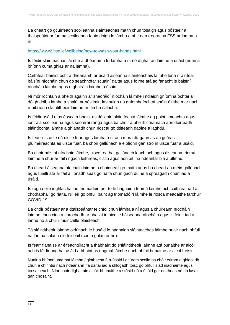Ba cheart go gcuirfeadh scoileanna sláinteachas maith chun tosaigh agus póstaeir a thaispeáint ar fud na scoileanna faoin dóigh le lámha a ní. Lean treoracha FSS ar lámha a ní:

#### <https://www2.hse.ie/wellbeing/how-to-wash-your-hands.html>

Is féidir sláinteachas láimhe a dhéanamh trí lámha a ní nó díghalrán láimhe a úsáid (nuair a bhíonn cuma ghlas ar na lámha).

Caithfear bainistíocht a dhéanamh ar úsáid áiseanna sláinteachais láimhe lena n-áirítear báisíní níocháin chun go seachnófar scuainí daltaí agus foirne atá ag fanacht le báisíní níocháin láimhe agus díghalráin láimhe a úsáid.

Ní mór rochtain a bheith againn ar shaoráidí níocháin láimhe i ndiaidh gníomhaíochtaí ar dóigh dóibh lámha a shalú, ar nós imirt lasmuigh nó gníomhaíochtaí spóirt áirithe mar nach n-oibríonn sláintitheoir láimhe ar lámha salacha.

Is féidir úsáid níos éasca a bhaint as dáileoirí sláintíochta láimhe ag pointí imeachta agus iontrála scoileanna agus seomraí ranga agus ba chóir a bheith cúramach aon doirteadh sláintíochta láimhe a ghlanadh chun rioscaí go dtitfeadh daoine a laghdú.

Is fearr uisce te ná uisce fuar agus lámha á ní ach mura dtagann as an gcóras pluiméireachta as uisce fuar, ba chóir gallúnach a eiblíonn gan stró in uisce fuar a úsáid.

Ba chóir báisíní níocháin láimhe, uisce reatha, gallúnach leachtach agus áiseanna triomú láimhe a chur ar fáil i ngach leithreas, cistin agus aon áit ina ndéantar bia a ullmhú.

Ba cheart áiseanna níocháin láimhe a choinneáil go maith agus ba cheart an méid gallúnach agus tuáillí atá ar fáil a líonadh suas go rialta chun gach duine a spreagadh chun iad a úsáid.

Is rogha eile inghlactha iad triomadóirí aer te le haghaidh triomú láimhe ach caithfear iad a chothabháil go rialta. Ní léir go bhfuil baint ag triomadóirí láimhe le riosca méadaithe tarchuir COVID-19.

Ba chóir póstaeir ar a dtaispeántar teicnící chun lámha a ní agus a chuireann níocháin láimhe chun cinn a chrochadh ar bhallaí in aice le háiseanna níocháin agus is féidir iad a lannú nó a chur i muinchille plaisteach.

Tá sláintitheoir láimhe oiriúnach le húsáid le haghaidh sláinteachas láimhe nuair nach bhfuil na lámha salacha le feiceáil (cuma ghlan orthu).

Is fearr fianaise ar éifeachtúlacht a thabhairt do shláintitheoir láimhe atá bunaithe ar alcól ach is féidir ungthaí úsáid a bhaint as ungthaí láimhe nach bhfuil bunaithe ar alcól freisin.

Nuair a bhíonn umgthaí láimhe / glóthacha á n-úsáid i gcúram scoile ba chóir cúram a ghlacadh chun a chinntiú nach ndéanann na daltaí iad a shlogadh toisc go bhfuil siad inadhainte agus tocsaineach. Níor chóir díghalráin alcóil-bhunaithe a stóráil nó a úsáid gar do theas nó do lasair gan chosaint.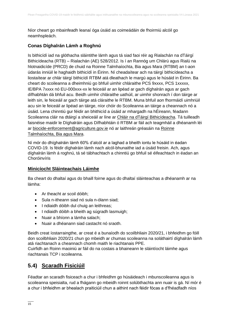Níor cheart go mbainfeadh leanaí óga úsáid as coimeádáin de fhoirmiú alcóil go neamhspleách.

### **Conas Díghalrán Lámh a Roghnú**

Is bithicídí iad na glóthacha sláintithe lámh agus tá siad faoi réir ag Rialachán na dTáirgí Bithicídeacha (RTB) – Rialachán (AE) 528/2012. Is í an Rannóg um Chlárú agus Rialú na hlotnaidicíde (PRCD) de chuid na Roinne Talmhaíochta, Bia agus Mara (RTBM) an t-aon údarás inniúil le haghaidh bithicídí in Éirinn. Ní cheadaítear ach na táirgí bithicídeacha a liostaítear ar chlár táirgí bithicídí RTBM atá dleathach le margú agus le húsáid in Éirinn. Ba cheart do scoileanna a dheimhniú go bhfuil uimhir chláraithe PCS 9xxxx, PCS 1xxxxx, IE/BPA 7xxxx nó EU-000xxx-xx le feiceáil ar an lipéad ar gach díghalrán agus ar gach dífhabhtán dá bhfuil acu. Beidh uimhir chláraithe uathúil, ar uimhir shonrach í don táirge ar leith sin, le feiceáil ar gach táirge atá cláraithe le RTBM. Muna bhfuil aon fhormáidí uimhriúil acu sin le feiceáil ar lipéad an táirge, níor chóir do Scoileanna an táirge a cheannach nó a úsáid. Lena chinntiú gur féidir an bhithicíd a úsáid ar mhargadh na hÉireann, féadann Scoileanna cláir na dtáirgí a sheiceáil ar líne ar [Chláir na dTáirgí Bithicídeacha.](https://www.pcs.agriculture.gov.ie/registers/biocidalproductregisters/) Tá tuilleadh faisnéise maidir le Díghalráin agus Dífhabhtáin ó RTBM ar fáil ach teagmháil a dhéanamh léi ar [biocide-enforcement@agriculture.gov.ie](mailto:biocide-enforcement@agriculture.gov.ie) nó ar laithreán gréasáin na Roinne [Talmhaíochta, Bia agus Mara.](https://www.gov.ie/ga/eagraiocht/an-roinn-talmhaiochta-bia-agus-mara/)

Ní mór do dhíghalráin lámh 60% d'alcól ar a laghad a bheith iontu le húsáid in éadan COVID-19. Is féidir díghalráin lámh nach alcól-bhunaithe iad a úsáid freisin. Ach, agus díghalrán lámh á roghnú, tá sé tábhachtach a chinntiú go bhfuil sé éifeachtach in éadan an Choróinvíris

### **Minicíocht Sláinteachais Láimhe**

Ba cheart do dhaltaí agus do bhaill foirne agus do dhaltaí sláinteachas a dhéanamh ar na lámha:

- Ar theacht ar scoil dóibh:
- Sula n-itheann siad nó sula n-ólann siad;
- I ndiaidh dóibh dul chuig an leithreas;
- I ndiaidh dóibh a bheith ag súgradh lasmuigh;
- Nuair a bhíonn a lámha salach;
- Nuair a dhéanann siad castacht nó sraoth.

Beidh creat íostarraingthe, ar creat é a bunaíodh do scoilbhliain 2020/21, i bhfeidhm go fóill don scoilbhliain 2020/21 chun go mbeidh ar chumas scoileanna na soláthairtí díghalrán lámh atá riachtanach a cheannach chomh maith le riachtanais PPE.

Cuirfidh an Roinn maoiniú ar fáil do na costais a bhaineann le sláintíocht láimhe agus riachtanais TCP i scoileanna.

# **5.4) Scaradh Fisiciúil**

Féadtar an scaradh fisiceach a chur i bhfeidhm go húsáideach i mbunscoileanna agus is scoileanna speisialta, rud a fhágann go mbeidh roinnt solúbthachta ann nuair is gá. Ní mór é a chur i bhfeidhm ar bhealach praiticiúil chun a aithint nach féidir fócas a d'fhéadfadh níos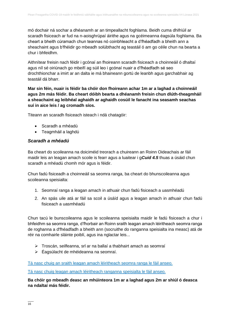mó dochair ná sochar a dhéanamh ar an timpeallacht foghlama. Beidh cuma dhifriúil ar scaradh fisiceach ar fud na n-aoisghrúpaí áirithe agus na gcéimeanna éagsúla foghlama. Ba cheart a bheith cúramach chun teannas nó coinbhleacht a d'fhéadfadh a bheith ann a sheachaint agus b'fhéidir go mbeadh solúbthacht ag teastáil ó am go céile chun na bearta a chur i bhfeidhm.

Aithnítear freisin nach féidir i gcónaí an fhoireann scaradh fisiceach a choinneáil ó dhaltaí agus níl sé oiriúnach go mbeifí ag súil leo i gcónaí nuair a d'fhéadfadh sé seo drochthionchar a imirt ar an dalta ie má bhaineann gortú de leanbh agus garchabhair ag teastáil dá bharr.

**Mar sin féin, nuair is féidir ba chóir don fhoireann achar 1m ar a laghad a choinneáil agus 2m más féidir. Ba cheart dóibh bearta a dhéanamh freisin chun dlúth-theagmháil a sheachaint ag leibhéal aghaidh ar aghaidh cosúil le fanacht ina seasamh seachas suí in aice leis / ag cromadh síos.**

Titeann an scaradh fisiceach isteach i ndá chatagóir:

- Scaradh a mhéadú
- Teagmháil a laghdú

#### *Scaradh a mhéadú*

Ba cheart do scoileanna na doiciméid treorach a chuireann an Roinn Oideachais ar fáil maidir leis an leagan amach scoile is fearr agus a luaitear i g*Cuid 4.5* thuas a úsáid chun scaradh a mhéadú chomh mór agus is féidir.

Chun fadú fisiceadh a choinneáil sa seomra ranga, ba cheart do bhunscoileanna agus scoileanna speisialta:

- 1. Seomraí ranga a leagan amach in athuair chun fadú fisiceach a uasmhéadú
- 2. An spás uile atá ar fáil sa scoil a úsáíd agus a leagan amach in athuair chun fadú fisiceach a uasmhéadú

Chun tacú le bunscoileanna agus le scoileanna speisialta maidir le fadú fisiceach a chur i bhfeidhm sa seomra ranga, d'fhorbair an Roinn sraith leagan amach léiritheach seomra ranga de roghanna a d'fhéadfadh a bheith ann (socruithe do ranganna speisialta ina measc) atá de réir na comhairle sláinte poiblí, agus ina nglactar leis...

- ➢ Troscán, seilfeanna, srl ar na ballaí a thabhairt amach as seomraí
- ➢ Éagsúlacht de mhéideanna na seomraí.

[Tá nasc chuig an sraith leagan amach léiritheach seomra ranga le fáil anseo.](https://www.gov.ie/ga/foilsiuchan/33198-illustrative-primary-classroom-layouts/)

#### [Tá nasc chuig leagan amach léiritheach ranganna speisialta le fáil anseo.](https://www.gov.ie/ga/foilsiuchan/f07fb-illustrative-sen-classroom-layouts/)

**Ba chóir go mbeadh deasc an mhúinteora 1m ar a laghad agus 2m ar shiúl ó deasca na ndaltaí más féidir.**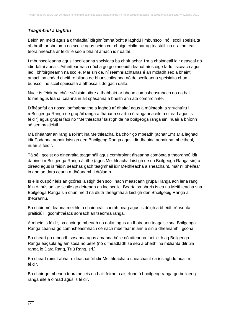### *Teagmháil a laghdú*

Beidh an méid agus a d'fhéadfaí idirghníomhaíocht a laghdú i mbunscoil nó i scoil speisialta ab brath ar shuíomh na scoile agus beidh cur chuige ciallmhar ag teastáil ina n-aithnítear teorainneacha ar féidir é seo a bhaint amach idir daltaí.

I mbunscoileanna agus i scoileanna speisialta ba chóir achar 1m a choinneáil idir deascaí nó idir daltaí aonair. Aithnítear nach dócha go gcoinneoidh leanaí níos óige fadú fisiceach agus iad i bhfoirgneamh na scoile. Mar sin de, ní réamhriachtanas é an moladh seo a bhaint amach sa chéad cheithre bliana de bhunscoileanna nó de scoileanna speisialta chun bunscoil nó scoil speisialta a athoscailt do gach dalta.

Nuair is féidir ba chóir stáisiúin oibre a thabhairt ar bhonn comhsheasmhach do na baill foirne agus leanaí céanna in áit spásanna a bheith ann atá comhroinnte.

D'fhéadfaí an riosca ionfhabhtaithe a laghdú trí dhaltaí agus a múinteoirí a struchtúrú i mBoilgeoga Ranga (ie grúpáil ranga a fhanann scartha ó ranganna eile a oiread agus is féidir) agus grúpaí faoi nó "Meithleacha" laistigh de na boilgeoga ranga sin, nuair a bhíonn sé seo praiticiúil.

Má dhéantar an rang a roinnt ina Meithleacha, ba chóir go mbeadh (achar 1m) ar a laghad idir Podanna aonair laistigh den Bhoilgeog Ranga agus idir dhaoine aonair sa mheitheal, nuair is féidir.

Tá sé i gceist go ginearálta teagmháil agus comhroinnt áiseanna comónta a theorannú idir daoine i mBoilgeoga Ranga áirithe (agus Meithleacha laistigh de na Boilgeoga Ranga sin) a oiread agus is féidir, seachas gach teagmháil idir Meithleacha a sheachaint, mar ní bheifear in ann an dara ceann a dhéanamh i dtólamh.

Is é is cuspóir leis an gcóras laistigh den scoil nach meascann grúpáil ranga ach lena rang féin ó thús an lae scoile go deireadh an lae scoile. Bearta sa bhreis is ea na Meithleacha sna Boilgeoga Ranga sin chun méid na dlúth-theagmhála laistigh den Bhoilgeoig Ranga a theorannú.

Ba chóir méideanna meithle a choinneáil chomh beag agus is dóigh a bheidh réasúnta praiticiúil i gcomhthéacs sonrach an tseomra ranga.

A mhéid is féidir, ba chóir go mbeadh na daltaí agus an fhoireann teagaisc sna Boilgeoga Ranga céanna go comhsheasmhach cé nach mbeifear in ann é sin a dhéanamh i gcónaí.

Ba cheart go mbeadh sosanna agus amanna béile nó áiteanna faoi leith ag Boilgeoga Ranga éagsúla ag am sosa nó béile (nó d'fhéadfadh sé seo a bheith ina mblianta difriúla ranga ie Dara Rang, Tríú Rang, srl.)

Ba cheart roinnt ábhar oideachasúil idir Meithleacha a sheachaint / a íoslaghdú nuair is féidir.

Ba chóir go mbeadh teorainn leis na baill foirne a aistríonn ó bhoilgeog ranga go boilgeog ranga eile a oiread agus is féidir.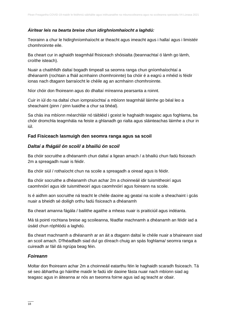#### *Áirítear leis na bearta breise chun idirghníomhaíocht a laghdú:*

Teorainn a chur le hidirghníomhaíocht ar theacht agus imeacht agus i hallaí agus i limistéir chomhroinnte eile.

Ba cheart cur in aghaidh teagmháil fhisiceach shóisialta (beannachtaí ó lámh go lámh, croíthe isteach).

Nuair a chaithfidh daltaí bogadh timpeall sa seomra ranga chun gníomhaíochtaí a dhéanamh (rochtain a fháil acmhainn chomhroinnte) ba chóir é a eagrú a mhéid is féidir ionas nach dtagann barraíocht le chéile ag an acmhainn chomhroinnte.

Níor chóir don fhoireann agus do dhaltaí míreanna pearsanta a roinnt.

Cuir in iúl do na daltaí chun iompraíochtaí a mbíonn teagmháil láimhe go béal leo a sheachaint (pinn / pinn luaidhe a chur sa bhéal).

Sa chás ina mbíonn méarchláir nó táibléid i gceist le haghaidh teagaisc agus foghlama, ba chóir dromchla teagmhála na feiste a ghlanadh go rialta agus sláinteachas láimhe a chur in iúl.

#### **Fad Fisiceach lasmuigh den seomra ranga agus sa scoil**

#### *Daltaí a fhágáil ón scoil/ a bhailiú ón scoil*

Ba chóir socruithe a dhéanamh chun daltaí a ligean amach / a bhailiú chun fadú fisiceach 2m a spreagadh nuair is féidir.

Ba chóir siúl / rothaíocht chun na scoile a spreagadh a oiread agus is féidir.

Ba chóir socruithe a dhéanamh chun achar 2m a choinneáil idir tuismitheoirí agus caomhnóirí agus idir tuismitheoirí agus caomhnóirí agus foireann na scoile.

Is é aidhm aon socruithe ná teacht le chéile daoine ag geataí na scoile a sheachaint i gcás nuair a bheidh sé doiligh orthu fadú fisiceach a dhéanamh

Ba cheart amanna fágála / bailithe agaithe a mheas nuair is praiticiúil agus indéanta.

Má tá pointí rochtana breise ag scoileanna, féadfar machnamh a dhéanamh an féidir iad a úsáid chun róphlódú a laghdú.

Ba cheart machnamh a dhéanamh ar an áit a dtagann daltaí le chéile nuair a bhaineann siad an scoil amach. D'fhéadfadh siad dul go díreach chuig an spás foghlama/ seomra ranga a cuireadh ar fáil dá ngrúpa beag féin.

#### *Foireann*

Moltar don fhoireann achar 2m a choinneáil eatarthu féin le haghaidh scaradh fisiceach. Tá sé seo ábhartha go háirithe maidir le fadú idir daoine fásta nuair nach mbíonn siad ag teagasc agus in áiteanna ar nós an tseomra foirne agus iad ag teacht ar obair.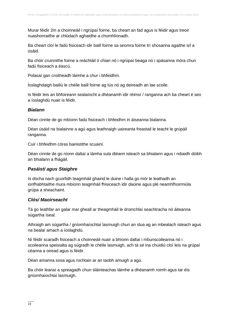Murar féidir 2m a choinneáil i ngrúpaí foirne, ba cheart an fad agus is féidir agus treoir nuashonraithe ar chlúdach aghaidhe a chomhlíonadh.

Ba cheart cloí le fadú fisiceach idir baill foirne sa seomra foirne trí shosanna agaithe srl a úsáid.

Ba chóir cruinnithe foirne a reáchtáil ó chian nó i ngrúpaí beaga nó i spásanna móra chun fadú fisiceach a éascú.

Polasaí gan croitheadh láimhe a chur i bhfeidhm.

Íoslaghdaigh bailiú le chéile baill foirne ag tús nó ag deireadh an lae scoile.

Is féidir leis an bhfoireann sealaíocht a dhéanamh idir réimsí / ranganna ach ba cheart é seo a íoslaghdú nuair is féidir.

#### *Bialann*

Déan cinnte de go mbíonn fadú fisiceach i bhfeidhm in áiseanna bialanna.

Déan úsáid na bialainne a agú agus leathnaigh uaireanta freastail le teacht le grúpáil ranganna.

Cuir i bhfeidhm córas bainistithe scuainí.

Déan cinnte de go níonn daltaí a lámha sula dtéann isteach sa bhialann agus i ndiaidh dóibh an bhialann a fhágáil.

#### *Pasáistí agus Staighre*

Is dócha nach gcuirfidh teagmháil ghairid le duine i halla go mór le leathadh an ionfhabhtaithe mura mbíonn teagmháil fhisiceach idir daoine agus plé neamhfhoirmiúla grúpa a sheachaint.

#### *Clós/ Maoirseacht*

Tá go leathfar an galar mar gheall ar theagmháil le dromchlaí seachtracha nó áiteanna súgartha íseal.

Athraigh am súgartha / gníomhaíochtaí lasmuigh chun an slua ag an mbealach isteach agus na bealaí amach a íoslaghdú.

Ní féidir scaradh fisiceach a choinneáil nuair a bhíonn daltaí i mbunscoileanna nó i scoileanna speisialta ag súgradh le chéile lasmuigh, ach tá sé ina chuidiú cloí leis na grúpaí céanna a oiread agus is féidir.

Déan amanna sosa agus rochtain ar an taobh amuigh a agú.

Ba chóir leanaí a spreagadh chun sláinteachas láimhe a dhéanamh roimh agus tar éis gníomhaíochtaí lasmuigh.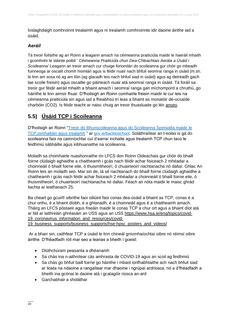Íoslaghdaigh comhroinnt trealaimh agus ní trealamh comhroinnte idir daoine áirithe iad a úsáid.

#### *Aeráil*

Tá treoir foilsithe ag an Roinn a leagann amach na céimeanna praiticiúla maidir le haeráil mhaith i gcomhréir le sláinte poiblí ' *Céimeanna Praiticiúla chun Dea-Chleachtais Aerála a Úsáid i Scoileanna'* Leagann an treoir amach cur chuige foriomlán do scoileanna gur chóir go mbeadh fuinneoga ar oscailt chomh hiomlán agus is féidir nuair nach bhfuil seomraí ranga in úsáid (m.sh. le linn am sosa nó ag am lóin (ag glacadh leis nach bhfuil siad in úsáid) agus ag deireadh gach lae scoile freisin) agus oscailte go páirteach nuair atá seomraí ranga in úsáid. Tá foráil sa treoir gur féidir aeráil mhaith a bhaint amach i seomraí ranga gan míchompord a chruthú, go háirithe le linn aimsir fhuar. D'fhoilsigh an Roinn comhairle freisin maidir le cur leis na céimeanna praiticiúla sin agus iad a fheabhsú trí leas a bhaint as monatóir dé-ocsaíde charbóin (CO2). Is féidir teacht ar naisc chuig an treoir thuasluaite go léir [anseo](https://www.gov.ie/ga/foilsiuchan/aerala-i-scoileanna/).

# **5.5) Úsáid TCP i Scoileanna**

D'fhoilsigh an Roinn ["Treoir do Bhunscoileanna agus do Scoileanna Speisialta maidir le](https://www.gov.ie/ga/foilsiuchan/55f0b-guidance-for-primary-schools-special-schools-on-ppe-consumables-and-equipment/)  [TCP,tomhaltáin agus trealamh](https://www.gov.ie/ga/foilsiuchan/55f0b-guidance-for-primary-schools-special-schools-on-ppe-consumables-and-equipment/) " ar [gov.ie/backtoschool](https://www.gov.ie/ga/feachtais/filleadh-ar-scoil/). Soláthraítear an t-eolas is gá do scoileanna faoi na cainníochtaí cuí d'earraí inchaite agus trealamh TCP chun tacú le feidhmiú sábháilte agus inbhuanaithe na scoileanna.

Moladh sa chomhairle nuashonraithe ón LFCS don Roinn Oideachais gur chóir do bhaill foirne clúdaigh aghaidhe a chaitheamh i gcás nach féidir achar fisiceach 2 mhéadar a choinneáil ó bhaill foirne eile, ó thuismitheoirí, ó chuairteoirí riachtanacha nó daltaí. Ghlac An Roinn leis an moladh seo. Mar sin de, tá sé riachtanach do bhaill foirne clúdaigh aghaidhe a chaitheamh i gcás nach féidir achar fisiceach 2 mhéadar a choinneáil ó bhaill foirne eile, ó thuismitheoirí, ó chuairteoirí riachtanacha nó daltaí. Féach an nóta maidir le maisc ghrád liachta ar leathanach 25.

Ba cheart go gcuirfí oibrithe faoi oiliúint faoi conas dea-úsáid a bhaint as TCP, conas é a chur orthu, é a bhaint díobh, é a ghlanadh, é a choinneáil agus é a chaitheamh amach. Tháirg an LFCS póstaeir agus físeáin maidir le conas TCP a chur ort agus a bhaint díot atá ar fáil ar laithreáin ghréasáin an USS agus an USS [https://www.hsa.ie/eng/topics/covid-](https://www.hsa.ie/eng/topics/covid-19_coronavirus_information_and_resources/covid-19_business_supports/business_supports/hse-hpsc_posters_and_videos/)19 coronavirus information and resources/covid-

```
19_business_supports/business_supports/hse-hpsc_posters_and_videos/
```
Ar a bharr sin, caithfear TCP a úsáid le linn chineál gníomhaíochtaí oibre nó réimsí oibre áirithe. D'fhéadfadh róil mar seo a leanas a bheith i gceist:

- Dlúthchúram peasanta a dhéanamh
- Sa chás ina n-aithnítear cás amhrasta de COVID-19 agus an scoil ag feidhmiú
- Sa chás go bhfuil baill foirne go háirithe i mbaol ionfhabhtaithe ach nach bhfuil siad ar liosta na ndaoine a rangaítear mar dhaoine i ngrúpaí ardriosca, nó a d'fhéadfadh a bheith ina gcónaí le daoine atá i gcatagóir riosca an-ard
- Garchabhair a sholáthar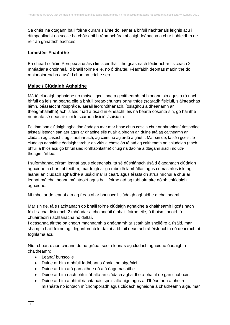Sa chás ina dtugann baill foirne cúram sláinte do leanaí a bhfuil riachtanais leighis acu i dtimpeallacht na scoile ba chóir dóibh réamhchúraimí caighdeánacha a chur i bhfeidhm de réir an ghnáthchleachtais.

### **Limistéir Fháiltithe**

Ba cheart scáiáin Perspex a úsáis i limistéir fháiltithe gcás nach féidir achar fisiceach 2 mhéadar a choinneáil ó bhaill foirne eile, nó ó dhaltaí. Féadfaidh deontas maoinithe do mhionoibreacha a úsáid chun na críche seo.

#### **Maisc / Clúdaigh Aghaidhe**

Má tá clúdaigh aghaidhe nó maisc i gcoitinne á gcaitheamh, ní hionann sin agus a rá nach bhfuil gá leis na bearta eile a bhfuil breac-chuntas orthu thíos (scaradh fisiciúil, sláinteachas lámh, béasaíocht riospráide, aeráil leordhóthanach, íoslaghdú a dhéanamh ar theagmhálaithe) ach is féidir iad a úsáid in éineacht leis na bearta cosanta sin, go háirithe nuair atá sé deacair cloí le scaradh fisiciúil/sóisialta.

Feidhmíonn clúdaigh aghaidhe éadaigh mar mar bhac chun cosc a chur ar bhraoiníní riospráide taisteal isteach san aer agus ar dhaoine eile nuair a bhíonn an duine atá ag caitheamh an clúdach ag casacht, ag sraothartach, ag caint nó ag ardú a ghuth. Mar sin de, tá sé i gceist le clúdaigh aghaidhe éadaigh tarchur an víris a chosc ón té atá ag caitheamh an chlúdaigh (nach bhfuil a fhios acu go bhfuil siad ionfhabhtaithe) chuig na daoine a dtagann siad i ndlúththeagmháil leo.

I suíomhanna cúram leanaí agus oideachais, tá sé dúshlánach úsáid éigeantach clúdaigh aghaidhe a chur i bhfeidhm, mar tuigtear go mbeidh lamháltas agus cumas níos ísle ag leanaí an clúdach aghaidhe a úsáid mar is ceart, agus féasfaidh strus míchuí a chur ar leanaí má chaitheann múinteoirí agus baill foirne atá ag tabhairt aire dóibh chlúdaigh aghaidhe.

Ní mholtar do leanaí atá ag freastal ar bhunscoil clúdaigh aghaidhe a chaitheamh.

Mar sin de, tá s riachtanach do bhaill foirne clúdaigh aghaidhe a chaitheamh i gcás nach féidir achar fisiceach 2 mhéadar a choinneáil ó bhaill foirne eile, ó thuismitheoirí, ó chuairteoirí riachtanacha nó daltaí.

I gcásanna áirithe ba cheart machnamh a dhéanamh ar scáthláin shoiléire a úsáid, mar shampla baill foirne ag idirghníomhú le daltaí a bhfuil deacrachtaí éisteachta nó deacrachtaí foghlama acu.

Níor cheart d'aon cheann de na grúpaí seo a leanas ag clúdach aghaidhe éadaigh a chaitheamh:

- Leanaí bunscoile
- Duine ar bith a bhfuil fadhbanna ánalaithe aige/aici
- Duine ar bith atá gan aithne nó atá éagumasaithe
- Duine ar bith nach bhfuil ábalta an clúdach aghaidhe a bhaint de gan chabhair.
- Duine ar bith a bhfuil riachtanais speisialta aige agus a d'fhéadfadh a bheith míshásta nó iontach míchomporadh agus clúdach aghaidhe á chaitheamh aige, mar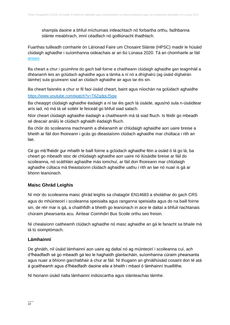shampla daoine a bhfuil míchumais intleachtach nó forbartha orthu, fadhbanna sláinte meabhrach, imní céadfach nó goilliúnacht thadhlach.

Fuarthas tuilleadh comhairle ón Lárionad Faire um Chosaint Sláinte (HPSC) maidir le húsáid clúdaigh aghaidhe i suíomhanna oideachais ar an 6ú Lúnasa 2020. Tá an chomhairle ar fáil [anseo.](https://assets.gov.ie/83506/bb443e5d-fc35-4f73-92c7-ad048849fdab.pdf)

Ba cheart a chur i gcuimhne do gach ball foirne a chaitheann clúdaigh aghaidhe gan teagmháil a dhéanamh leis an gclúdach aghaidhe agus a lámha a ní nó a dhíghalrú (ag úsáid díghalrán láimhe) sula gcuireann siad an clúdach aghaidhe air agus tar éis sin.

Ba cheart faisnéis a chur sr fil faoi úsáid cheart, baint agus níiochán na gclúdach aghaidhe

#### <https://www.youtube.com/watch?v=T6ZqdpLfSqw>

Ba cheaqqrt clúdaigh aghaidhe éadaigh a ní tar éis gach lá úsáide, agus/nó sula n-úsáidtear arís iad, nó má tá sé soiléir le feiceáil go bhfuil siad salach.

Níor cheart clúdaigh aghaidhe éadaigh a chaitheamh má tá siad fliuch. Is féidir go mbeadh sé deacair análú le clúdach aghaidh éadaigh fliuch.

Ba chóir do scoileanna machnamh a dhéanamh ar chlúdaigh aghaidhe aon uaire breise a bheith ar fáil don fhoireann i gcás go dteastaíonn clúdach aghaidhe mar chúltaca i rith an lae.

Cé go mb'fhéidir gur mhaith le baill foirne a gclúdach aghaidhe féin a úsáid ó lá go lá, ba cheart go mbeadh stoc de chlúdaigh aghaidhe aon uaire nó ilúsáidte breise ar fáil do scoileanna, nó scáthláin aghaidhe más iomchuí, ar fáil don fhoireann mar chlúdaigh aghaidhe cúltaca má theastaíonn clúdach aghaidhe uathu i rith an lae nó nuair is gá ar bhonn leanúnach.

### **Maisc Ghrád Leighis**

Ní mór do scoileanna maisc ghrád leighis sa chatagóir EN14683 a sholáthar do gach CRS agus do mhúinteoirí i scoileanna speisialta agus ranganna speisialta agus do na baill foirne sin, de réir mar is gá, a chaithfidh a bheith go leanúnach in aice le daltaí a bhfuil riachtanais chúraim phearsanta acu. Áirítear Coimhdirí Bus Scoile orthu seo freisin.

Ní chealaíonn caitheamh clúdach aghaidhe nó masc aghaidhe an gá le fanacht sa bhaile má tá tú siomptómach.

#### **Lámhainní**

De ghnáth, níl úsáid lámhainní aon uaire ag daltaí nó ag múinteoirí i scoileanna cuí, ach d'fhéadfadh sé go mbeadh gá leo le haghaidh glantacháin, suíomhanna cúraim phearsanta agus nuair a bhíonn garchabhair á chur ar fáil. Ní thugann an ghnáthúsáid cosaint don té atá á gcaitheamh agus d'fhéadfadh daoine eile a bheith i mbaol ó lámhainní truaillithe.

Ní hionann úsáid rialta lámhainní indiúscartha agus sláinteachas láimhe.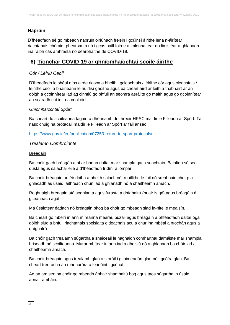### **Naprúin**

D'fhéadfadh sé go mbeadh naprúin oiriúnach freisin i gcúinsí áirithe lena n-áirítear riachtanais chúraim phearsanta nó i gcás baill foirne a imlonnaítear do limistéar a ghlanadh ina raibh cás amhrasta nó dearbhaithe de COVID-19.

### **6) Tionchar COVID-19 ar ghníomhaíochtaí scoile áirithe**

### *Cór / Léiriú Ceoil*

D'fhéadfadh leibhéal níos airde riosca a bheith i gcleachtais / léirithe cór agus cleachtais / léirithe ceoil a bhaineann le huirlisí gaoithe agus ba cheart aird ar leith a thabhairt ar an dóigh a gcoinnítear iad ag cinntiú go bhfuil an seomra aeráilte go maith agus go gcoinnítear an scaradh cuí idir na ceoltóirí.

#### *Gníomhaíochtaí Spóirt*

Ba cheart do scoileanna tagairt a dhéanamh do threoir HPSC maidir le Filleadh ar Spórt. Tá nasc chuig na prótacail maidir le Filleadh ar Spórt ar fáil anseo.

<https://www.gov.ie/en/publication/07253-return-to-sport-protocols/>

#### *Trealamh Comhroinnte*

#### Bréagáin

Ba chóir gach bréagán a ní ar bhonn rialta, mar shampla gach seachtain. Bainfidh sé seo dusta agus salachar eile a d'fhéadfadh frídíní a iompar.

Ba chóir bréagáin ar léir dóibh a bheith salach nó truaillithe le fuil nó sreabháin choirp a ghlacadh as úsáid láithreach chun iad a ghlanadh nó a chaitheamh amach.

Roghnaigh bréagáin atá soghlanta agus furasta a dhíghalrú (nuair is gá) agus bréagáin á gceannach agat.

Má úsáidtear éadach nó bréagáin bhog ba chóir go mbeadh siad in-nite le meaisín.

Ba cheart go mbeifí in ann míreanna mearaí, puzail agus bréagáin a bhféadfadh daltaí óga dóibh siúd a bhfuil riachtanais speisialta oideachais acu a chur ina mbéal a níochán agus a dhíghalrú.

Ba chóir gach trealamh súgartha a sheiceáil le haghaidh comharthaí damáiste mar shampla briseadh nó scoilteanna. Murar mbítear in ann iad a dheisiú nó a ghlanadh ba chóir iad a chaitheamh amach.

Ba chóir bréagáin agus trealamh glan a stóráil i gcoimeádán glan nó i gcófra glan. Ba cheart treoracha an mhonaróra a leanúint i gcónaí.

Ag an am seo ba chóir go mbeadh ábhair shamhaltú bog agus taos súgartha in úsáid aonair amháin.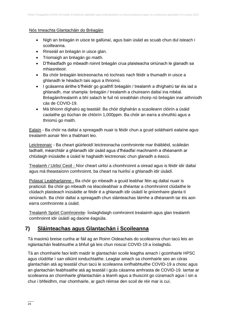#### Nós Imeachta Glantacháin do Bréagáin

- Nigh an bréagán in uisce te gallúnaí, agus bain úsáid as scuab chun dul isteach i scoilteanna.
- Rinseáil an bréagán in uisce glan.
- Triomaigh an bréagán go maith.
- D'fhéadfadh go mbeadh roinnt bréagán crua plaisteacha oiriúnach le glanadh sa mhiasniteoir.
- Ba chóir bréagáin leictreonacha nó tochrais nach féidir a thumadh in uisce a ghlanadh le héadach tais agus a thriomú.
- I gcásanna áirithe b'fhéidir go gcaithfí bréagáin / trealamh a dhíghalrú tar éis iad a ghlanadh, mar shampla: bréagáin / trealamh a chuireann daltaí ina mbéal. Bréagáin/trealamh a bhí salach le fuil nó sreabháin choirp nó bréagáin inar aithníodh cás de COVID-19.
- Má bhíonn díghalrú ag teastáil: Ba chóir díghalrán a scaoileann clóirín a úsáid caolaithe go tiúchan de chlóirín 1,000ppm. Ba chóir an earra a shruthlú agus a thriomú go maith.

Ealaín - Ba chóir na daltaí a spreagadh nuair is féidir chun a gcuid soláthairtí ealaíne agus trealaimh aonair féin a thabhairt leo.

Leictreonaic - Ba cheart giúirleoidí leictreonacha comhroinnte mar tháibléid, scáileáin tadhaill, méarchláir a ghlanadh idir úsáid agus d'fhéadfaí machnamh a dhéanamh ar chlúdaigh inúsáidte a úsáid le haghaidh leictreonaic chun glanadh a éascú.

Trealamh / Uirlisí Ceoil - Níor cheart uirlisí a chomhroinnt a oiread agus is féidir idir daltaí agus má theastaíonn comhroinnt, ba cheart na huirlisí a ghlanadh idir úsáidí.

Polasaí Leabharlainne - Ba chóir go mbeadh a gcuid leabhar féin ag daltaí nuair is praiticiúil. Ba chóir go mbeadh na téacsleabhair a dhéantar a chomhroinnt clúdaithe le clúdach plaisteach inúsáidte ar féidir é a ghlanadh idir úsáidí le gníomhaire glanta tí oiriúnach. Ba chóir daltaí a spreagadh chun sláinteachas láimhe a dhéanamh tar éis aon earra comhroinnte a úsáid.

Trealamh Spóirt Comhroinnte- Íoslaghdaigh comhroinnt trealaimh agus glan trealamh comhroinnt idir úsáidí ag daoine éagsúla.

# **7) Sláinteachas agus Glantachán i Scoileanna**

Tá maoiniú breise curtha ar fáil ag an Roinn Oideachais do scoileanna chun tacú leis an nglantachán feabhsuithe a bhfuil gá leis chun rioscaí COVID-19 a íoslaghdú.

Tá an chomhairle faoi leith maidir le glantachán scoile leagtha amach i gcomhairle HPSC agus clúdófar í san oiliúint ionduchtaithe. Leagtar amach sa chomhairle seo an córas glantacháin atá ag teastáil chun tacú le scoileanna ionfhabhtuithe COVID-19 a chosc agus an glantachán feabhsaithe atá ag teastáil i gcás cásanna amhrasta de COVID-19. Iarrtar ar scoileanna an chomhairle ghlantacháin a léamh agus a thuiscint go cúramach agus í sin a chur i bhfeidhm, mar chomhairle, ar gach réimse den scoil de réir mar is cuí.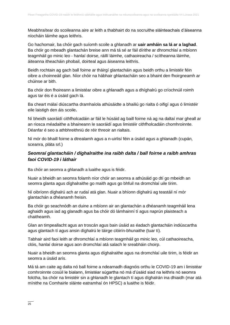Meabhraítear do scoileanna aire ar leith a thabhairt do na socruithe sláinteachais d'áiseanna níocháin láimhe agus leithris.

Go hachomair, ba chóir gach suíomh scoile a ghlanadh ar **uair amháin sa lá ar a laghad**. Ba chóir go mbeadh glantachán breise ann má tá sé ar fáil dírithe ar dhromchlaí a mbíonn teagmháil go minic leo - hanlaí doirse, ráillí láimhe, cathaoireacha / scítheanna láimhe, áiteanna itheacháin phobail, doirteal agus áiseanna leithris.

Beidh rochtain ag gach ball foirne ar tháirgí glantacháin agus beidh orthu a limistéir féin oibre a choinneáil glan. Níor chóir na hábhair ghlantacháin seo a bhaint den fhoirgneamh ar chúinse ar bith.

Ba chóir don fhoireann a limistéar oibre a ghlanadh agus a dhíghalrú go críochnúil roimh agus tar éis é a úsáid gach lá.

Ba cheart málaí diúscartha dramhaíola athúsáidte a bhailiú go rialta ó oifigí agus ó limistéir eile laistigh den áis scoile**.** 

Ní bheidh saoráidí cithfholcadáin ar fáil le húsáid ag baill foirne ná ag na daltaí mar gheall ar an riosca méadaithe a bhaineann le saoráidí agus limistéir cithfholcadáin chomhroinnte. Déanfar é seo a athbhreithniú de réir threoir an rialtais.

Ní mór do bhaill foirne a dtrealamh agus a n-uirlisí féin a úsáid agus a ghlanadh (cupán, sceanra, pláta srl.)

#### *Seomraí glantacháin / díghalraithe ina raibh dalta / ball foirne a raibh amhras faoi COVID-19 i láthair*

Ba chóir an seomra a ghlanadh a luaithe agus is féidir.

Nuair a bheidh an seomra folamh níor chóir an seomra a athúsáid go dtí go mbeidh an seomra glanta agus díghalraithe go maith agus go bhfuil na dromchlaí uile tirim.

Ní oibríonn díghalrú ach ar rudaí atá glan. Nuair a bhíonn díghalrú ag teastáil ní mór glantachán a dhéanamh freisin.

Ba chóir go seachnódh an duine a mbíonn air an glantachán a dhéanamh teagmháil lena aghaidh agus iad ag glanadh agus ba chóir dó lámhainní tí agus naprún plaisteach a chaitheamh.

Glan an timpeallacht agus an troscán agus bain úsáid as éadach glantacháin indiúscartha agus glantach tí agus ansin díghalrú le táirge clóirín-bhunaithe (tuar tí).

Tabhair aird faoi leith ar dhromchlaí a mbíonn teagmháil go minic leo, cúl cathaoireacha, clóis, hanlaí doirse agus aon dromchlaí atá salach le sreabháin choirp.

Nuair a bheidh an seomra glanta agus díghalraithe agus na dromchlaí uile tirim, is féidir an seomra a úsáid arís.

Má tá am caite ag dalta nó ball foirne a ndearnadh diagnóis orthu le COVID-19 am i limistéar comhroinnte cosúil le bialann, limistéar súgartha nó má d'úsáid siad na leithris nó seomra folctha, ba chóir na limistéir sin a ghlanadh le glantach tí agus díghalrán ina dhiaidh (mar atá mínithe na Comhairle sláinte eatramhaí ón HPSC) a luaithe is féidir.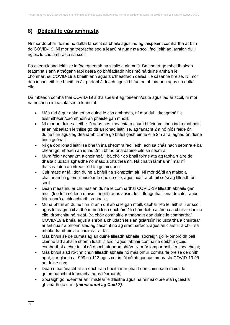# **8) Déileáil le cás amhrasta**

Ní mór do bhaill foirne nó daltaí fanacht sa bhaile agus iad ag taispeáint comhartha ar bith do COVID-19. Ní mór na treoracha seo a leanúint nuair atá scoil faoi leith ag iarraidh dul i ngleic le cás amhrasta sa scoil.

Ba cheart ionad leithlise in fhoirgneamh na scoile a ainmniú. Ba cheart go mbeidh plean teagmhais ann a thógann faoi deara go bhféadfadh níos mó ná duine amháin le chomharthaí COVID-19 a bheith ann agus a d'fhéadfadh déileáil le cásanna breise. Ní mór don ionad leithlise bheith in áit phríobháideach agus i bhfad ón bhfoireann agus na daltaí eile.

Dá mbeadh comharthaí COVID-19 á thaispeáint ag foireann/dalta agus iad ar scoil, ní mór na nósanna imeachta seo a leanúint:

- Más rud é gur dalta é/í an duine le cás amhrasta, ní mór dul i dteagmháil le tuismitheoirí/caomhnóirí an pháiste gan mhoill;
- Ní mór an duine a leithlisiú agus nós imeachta a chur i bhfeidhm chun iad a thabhairt ar an mbealach leithlise go dtí an ionad leithlise, ag fanacht 2m nó níós faide ón duine tinn agus ag déanamh cinnte go bhfuil gach éinne eile 2m ar a laghad ón duine tinn i gcónaí;
- Ní gá don ionad leithlise bheith ina sheomra faoi leith, ach sa chás nach seomra é ba cheart go mbeadh an ionad 2m i bhfad óna daoine eile sa seomra;
- Mura féidir achar 2m a choinneáil, ba chóir do bhall foirne atá ag tabhairt aire do dhalta clúdach aghaidhe nó masc a chaitheamh. Ná chaith lámhainní mar ní thaistealaínn an víreas tríd an gcraiceann;
- Cuir masc ar fáil don duine a bhfuil na siomptóim air. Ní mór dó/di an maisc a chaitheamh i gcomhlimistéar le daoine eile, agus nuair a bhfuil sé/sí ag filleadh ón scoil;
- Déan measúnú ar chumas an duine le comharthaí COVID-19 filleadh abhaile gan moill (leo féin nó lena dtuismitheoirí) agus ansin dul i dteagmháil lena dochtúir agus féin-aonrú a chleachtadh sa bhaile;
- Muna bhfuil an duine tinn in ann dul abhaile gan moill, cabhair leo le leithlisiú ar scoil agus le teagmháil a dhéanamh lena dochtúir. Ní chóir dóibh a lámha a chur ar daoine eile, dromchlaí nó rudaí. Ba chóir comhairle a thabhairt don duine le comharthaí COVID-19 a bhéal agus a shrón a chlúdach leis an gciarsúir indiúscartha a chuirtear ar fáil nuair a bhíonn siad ag casacht nó ag sraothartach, agus an ciarsúir a chur sa mhála dramhaíola a chuirtear ar fáil;
- Más bhfuil sé de cumas ag an duine filleadh abhaile, socraigh go n-iompróidh ball clainne iad abhaile chomh luath is féidir agus tabhair comhairle dóibh a gcuid comharthaí a chur in iúl dá dhochtúir ar an bhfón. Ní mór iompar poiblí a sheachaint;
- Más bhfuil siad ró-tinn chun filleadh abhaile nó más bhfuil comhairle breise de dhíth agat, cur glaoch ar 999 nó 112 agus cur in iúl dóibh gur cás amhrasta COVID-19 é/í an duine tinn;
- Déan measúnacht ar an eachtra a bheith mar pháirt den chinneadh maidir le gníomhaíochtaí leantacha agus téarnamh;
- Socraigh go ndéanfar an limistéar leithlisithe agus na réimsí oibre atá i gceist a ghlanadh go cuí - *(mionsonraí ag Cuid 7)*.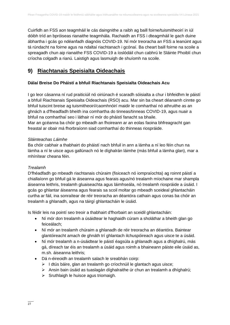Cuirfidh an FSS aon teagmháil le cás daingnithe a raibh ag baill foirne/tuismitheoirí in iúl dóibh tríd an bpróiseas rianaithe teagmhála. Rachaidh an FSS i dteagmháil le gach duine ábhartha i gcás go ndéanfadh diagnóis COVID-19. Ní mór treoracha an FSS a leanúint agus tá rúndacht na foirne agus na ndaltaí riachtanach i gcónaí. Ba cheart baill foirne na scoile a spreagadh chun aip rianaithe FSS COVID-19 a íoslódáil chun cabhrú le Sláinte Phoiblí chun críocha colgadh a rianú. Laistigh agus lasmuigh de shuíomh na scoile.

# **9) Riachtanais Speisialta Oideachais**

### **Dálaí Breise Do Pháistí a bhfuil Riachtanais Speisialta Oideachais Acu**

I go leor cásanna ní rud praiticiúil nó oiriúnach é scaradh sóisialta a chur i bhfeidhm le páistí a bhfuil Riachtanais Speisialta Oideachais (RSO) acu. Mar sin ba cheart déanamh cinnte go bhfuil tuiscint breise ag tuismitheoirí/caomhnóirí maidir le comharthaí nó athruithe as an ghnách a d'fheadfadh bheith ina comhartha do tinneas/tinneas COVID-19, agus nuair a bhfuil na comharthaí seo i láthair ní mór do pháistí fanacht sa bhaile. Mar an gcéanna ba chóir go mbeadh an fhoireann ar an eolas faoina bhfreagracht gan freastal ar obair má fhorbraíonn siad comharthaí do thinneas riospráide.

#### *Sláinteachas Láimhe*

Ba chóir cabhair a thabhairt do pháistí nach bhfuil in ann a lámha a ní leo féin chun na lámha a ní le uisce agus gallúnach nó le díghalrán láimhe (más bhfuil a lámha glan), mar a mhínítear cheana féin.

#### *Trealamh*

D'fhéadfadh go mbeadh riachtanais chúraim (fisiceach nó iompraíochta) ag roinnt páistí a chiallaíonn go bhfuil gá le áiseanna agus fearais agus/nó trealamh míochaine mar shampla áiseanna leithris, trealamh gluaiseachta agus láimhseála, nó trealamh riospráide a úsáid. I gcás go ghlantar áiseanna agus fearais sa scoil moltar go mbeadh sceideal ghlantacháin curtha ar fáil, ina sonraítear de réir treoracha an déantóra cathain agus conas ba chóir an trealamh a ghlanadh, agus na táirgí ghlantacháin le úsáid.

Is féidir leis na pointí seo treoir a thabhairt d'fhorbairt an sceidil ghlantacháin:

- Ní mór don trealamh a úsáidtear le haghaidh cúram a sholáthar a bheith glan go feiceálach;
- Ní mór an trealamh chúraim a ghlanadh de réir treoracha an déantóra. Baintear glantóireacht amach de ghnáth trí ghlantach ilchuspóireach agus uisce te a úsáid.
- Ní mór trealamh a n-úsáidtear le páistí éagsúla a ghlanadh agus a dhíghalrú, más gá, díreach tar éis an trealamh a úsáid agus roimh a bhaineann páiste eile úsáid as, m.sh. áiseanna leithris;
- Dá n-éireoidh an trealamh salach le sreabhán coirp:
	- ➢ I dtús báire, glan an trealamh go críochnúil le glantach agus uisce;
	- ➢ Ansin bain úsáid as tuaslagán díghalraithe úr chun an trealamh a dhíghalrú;
	- $\triangleright$  Sruthlaigh le huisce agus triomaigh.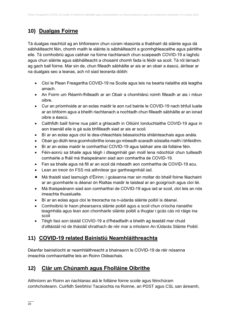# **10) Dualgas Foirne**

Tá dualgas reachtúil ag an bhfoireann chun cúram réasúnta a thabhairt dá sláinte agus dá sábháilteacht féin, chomh maith le sláinte is sábháilteacht a gcomhghleacaithe agus páirtithe eile. Tá comhoibriú agus cabhair na foirne riachtanach chun scaipeadh COVID-19 a laghdú agus chun sláinte agus sábháilteacht a chosaint chomh fada is féidir sa scoil. Tá ról lárnach ag gach ball foirne. Mar sin de, chun filleadh sábháilte ar ais ar an obair a éascú, áirítear ar na dualgais seo a leanas, ach níl siad teoranta dóibh:

- Cloí le Plean Freagartha COVID-19 na Scoile agus leis na bearta rialaithe atá leagtha amach.
- An Foirm um Réamh-fhilleadh ar an Obair a chomhlánú roimh filleadh ar ais i mbun oibre.
- Cur an príomhoide ar an eolas maidir le aon rud bainte le COVID-19 nach bhfuil luaite ar an bhfoirm agus a bheith riachtanach a nochtadh chun filleadh sábháilte ar an ionad oibre a éascú.
- Caithfidh baill foirne nua páirt a ghlacadh in Oiliúint Ionduchtaithe COVID-19 agus in aon traenáil eile is gá sula bhfilleadh siad ar ais ar scoil.
- Bí ar an eolas agus cloí le dea-chleachtais béasaíochta shláinteachais agus anála.
- Obair go dlúth lena gcomhoibrithe ionas go mbeadh scaradh sóisialta maith i bhfeidhm.
- Bí ar an eolas maidir le comharthaí COVID-19 agus tabhair aire dá folláine féin.
- Féin-aonrú sa bhaile agus téigh i dteagmháil gan moill lena ndochtúir chun tuilleadh comhairle a fháil má thaispeánann siad aon comhartha de COVID-19.
- Fan sa bhaile agus ná fill ar an scoil dá mbeadh aon comhartha de COVID-19 acu.
- Lean an treoir ón FSS má aithnítear gur gartheagmháil iad.
- Má thaistil siad lasmuigh d'Éirinn; i gcásanna mar sin moltar do bhaill foirne féachaint ar an gcomhairle is déanaí ón Rialtas maidir le taisteal ar an gcoigríoch agus cloí léi.
- Má thaispeánann siad aon comharthaí de COVID-19 agus iad ar scoil, cloí leis an nós imeachta thuasluaite.
- Bí ar an eolas agus cloí le treoracha na n-údarás sláinte poiblí is déanaí.
- Comhoibriú le haon phearsanra sláinte poiblí agus a scoil chun críocha rianaithe teagmhála agus lean aon chomhairle sláinte poiblí a thugtar i gcás cás nó ráige ina scoil
- Téigh faoi aon tástáil COVID-19 a d'fhéadfadh a bheith ag teastáil mar chuid d'olltástáil nó de thástáil shrathach de réir mar a mholann An tÚdarás Sláinte Poiblí.

# **11) COVID-19 related Bainistiú Neamhláithreachta**

Déanfar bainistíocht ar neamhláithreacht a bhaineann le COVID-19 de réir nósanna imeachta comhaontaithe leis an Roinn Oideachais.

# **12) Clár um Chúnamh agus Fholláine Oibrithe**

Aithníonn an Roinn an riachtanas atá le folláine foirne scoile agus féinchúram comhchoiteann. Cuirfidh Seirbhísí Tacaíochta na Roinne, an PDST agus CSL san áireamh,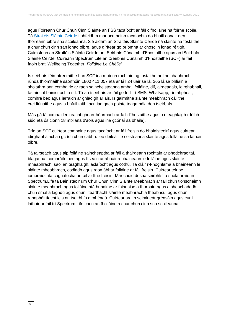agus Foireann Chur Chun Cinn Sláinte an FSS tacaíocht ar fáil d'fholláine na foirne scoile. Tá [Straitéis Sláinte Ceirde](https://www.education.ie/ga/Foireann-Oideachais/Eolas/Straitéis-Sláinte-Ceirdre/) i bhfeidhm mar acmhainn tacaíochta do bhaill aonair den fhoireann oibre sna scoileanna. S'é aidhm an Straitéis Sláinte Ceirde ná sláinte na fostaithe a chur chun cinn san ionad oibre, agus dírítear go príomha ar chosc in ionad réitigh. Cuimsíonn an Straitéis Sláinte Ceirde an tSeirbhís Cúnaimh d'Fhostaithe agus an tSeirbhís Sláinte Ceirde. Cuireann Spectrum.Life an tSeirbhís Cúnaimh d'Fhostaithe (SCF) ar fáil faoin brat 'Wellbeing Together: *Folláine Le Chéile'.* 

Is seirbhís féin-atreoraithe í an SCF ina mbíonn rochtain ag fostaithe ar líne chabhrach rúnda thiomnaithe saorfhóin 1800 411 057 atá ar fáil 24 uair sa lá, 365 lá sa bhliain a sholáthraíonn comhairle ar raon saincheisteanna amhail folláine, dlí, airgeadais, idirghabháil, tacaíocht bainistíochta srl. Tá an tseirbhís ar fáil go fóill trí SMS, Whatsapp, ríomhphost, comhrá beo agus iarraidh ar ghlaoigh ar ais. Is gairmithe sláinte meabhrach cáilithe, creidiúnaithe agus a bhfuil taithí acu iad gach pointe teagmhála don tseirbhís.

Más gá tá comhairleoireacht ghearrthéarmach ar fáil d'fhostaithe agus a dteaghlaigh (dóibh siúd atá ós cionn 18 mbliana d'aois agus ina gcónaí sa bhaile).

Tríd an SCF cuirtear comhairle agus tacaíocht ar fáil freisin do bhainisteoirí agus cuirtear idirghabhálacha i gcrích chun cabhrú leo déileáil le ceisteanna sláinte agus folláine sa láthair oibre.

Tá tairseach agus aip folláine saincheaptha ar fáil a thairgeann rochtain ar phodchraoltaí, blaganna, comhráite beo agus físeáin ar ábhair a bhaineann le folláine agus sláinte mheabhrach, saol an teaghlaigh, aclaíocht agus cothú. Tá cláir r-Fhoghlama a bhaineann le sláinte mheabhrach, codladh agus raon ábhar folláine ar fáil freisin. Cuirtear teiripe iompraíochta cognaíocha ar fáil ar líne freisin. Mar chuid dosna seirbhísí a sholáthraíonn Spectrum.Life tá Bainisteoir um Chur Chun Cinn Sláinte Meabhrach ar fáil chun tionscnaimh sláinte meabhrach agus folláine atá bunaithe ar fhianaise a fhorbairt agus a sheachadadh chun smál a laghdú agus chun litearthacht sláinte meabhrach a fheabhsú, agus chun rannpháirtíocht leis an tseirbhís a mhéadú. Cuirtear sraith seimineár gréasáin agus cur i láthair ar fáil trí Spectrum.Life chun an fholláine a chur chun cinn sna scoileanna.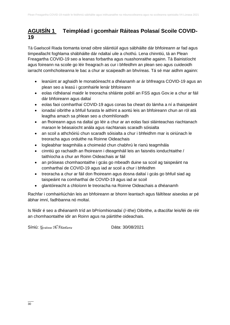# **AGUISÍN 1 Teimpléad i gcomhair Ráiteas Polasaí Scoile COVID-19**

Tá Gaelscoil Riada tiomanta ionad oibre sláintiúil agus sábháilte dár bhfoireann ar fad agus timpeallacht foghlama shábháilte dár ndaltaí uile a chothú. Lena chinntiú, tá an Plean Freagartha COVID-19 seo a leanas forbartha agus nuashonraithe againn. Tá Bainistíocht agus foireann na scoile go léir freagrach as cur i bhfeidhm an plean seo agus cuideoidh iarracht comhchoiteanna le bac a chur ar scaipeadh an bhvíreas. Tá sé mar aidhm againn:

- leanúint ar aghaidh le monatóireacht a dhéanamh ar ár bhfreagra COVID-19 agus an plean seo a leasú i gcomhairle lenár bhfoireann
- eolas rídhéanaí maidir le treoracha shláinte poiblí an FSS agus Gov.ie a chur ar fáil dár bhfoireann agus daltaí
- eolas faoi comharthaí COVID-19 agus conas ba cheart do lámha a ní a thaispeáint
- ionadaí oibrithe a bhfuil furasta le aithint a aontú leis an bhfoireann chun an ról atá leagtha amach sa phlean seo a chomhlíonadh
- an fhoireann agus na daltaí go léir a chur ar an eolas faoi sláinteachas riachtanach maraon le béasaíocht anála agus riachtanais scaradh sóisialta
- an scoil a athchóiriú chun scaradh sóisialta a chur i bhfeidhm mar is oiriúnach le treoracha agus orduithe na Roinne Oideachais
- logleabhar teagmhála a choimeád chun chabhrú le rianú teagmhála
- cinntiú go rachaidh an fhoireann i dteagmháil leis an faisnéis ionduchtaithe / taithíocha a chur an Roinn Oideachais ar fáil
- an próiseas chomhaontaithe i gcás go mbeadh duine sa scoil ag taispeáint na comharthaí de COVID-19 agus iad ar scoil a chur i bhfeidhm
- treoracha a chur ar fáil don fhoireann agus dosna daltaí i gcás go bhfuil siad ag taispeáint na comharthaí de COVID-19 agus iad ar scoil
- glantóireacht a chloíonn le treoracha na Roinne Oideachais a dhéanamh

Rachfar i comhairliúchán leis an bhfoireann ar bhonn leantach agus fáiltítear aiseolas ar pé ábhar imní, fadhbanna nó moltaí.

Is féidir é seo a dhéanamh tríd an bPríomhionadaí (/-ithe) Oibrithe, a dtacófar leis/léi de réir an chomhaontaithe idir an Roinn agus na páirtithe oideachais.

Síniú: Gráinne Ní Fhátharta Dáta: 30/08/2021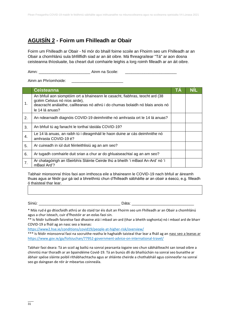# **AGUISÍN 2 - Foirm um Fhilleadh ar Obair**

Foirm um Fhilleadh ar Obair - Ní mór do bhaill foirne scoile an Fhoirm seo um Fhilleadh ar an Obair a chomhlánú sula bhfillfidh siad ar an áit oibre. Má fhreagraítear "Tá" ar aon dosna ceisteanna thíosluaite, ba cheart duit comhairle leighis a lorg roimh filleadh ar an áit oibre.

Aimn: **Aimn: Aimm na Scoile:**  $\blacksquare$ 

Ainm an Phríomhoide:

|    | <b>Ceisteanna</b>                                                                                                                                                                                                   | I A |  |
|----|---------------------------------------------------------------------------------------------------------------------------------------------------------------------------------------------------------------------|-----|--|
| 1. | An bhfuil aon siomptóim ort a bhaineann le casacht, fiabhras, teocht ard (38<br>gcéim Celsius nó níos airde),<br>deacracht análaithe, caillteanas nó athrú i do chumas bolaidh nó blais anois nó<br>le 14 lá anuas? |     |  |
| 2. | An ndearnadh diagnóis COVID-19 deimhnithe nó amhrasta ort le 14 lá anuas?                                                                                                                                           |     |  |
| 3. | An bhfuil tú ag fanacht le torthaí tástála COVID-19?                                                                                                                                                                |     |  |
| 4. | Le 14 lá anuas, an raibh tú i dteagmháil le haon duine ar cás deimhnithe nó<br>amhrasta COVID-19 é?                                                                                                                 |     |  |
| 5. | Ar cuireadh in iúl duit féinleithlisiú ag an am seo?                                                                                                                                                                |     |  |
| 6. | Ar tugadh comhairle duit srian a chur ar do ghluaiseachtaí ag an am seo?                                                                                                                                            |     |  |
| 7. | Ar chatagóirigh an tSeirbhís Sláinte Ceirde thú a bheith 'i mBaol An-Ard' nó 'i<br>mBaol Ard'?                                                                                                                      |     |  |

Tabhair mionsonraí thíos faoi aon imthosca eile a bhaineann le COVID-19 nach bhfuil ar áireamh thuas agus ar féidir gur gá iad a bhreithniú chun d'fhilleadh sábháilte ar an obair a éascú, e.g. filleadh ó thaisteal thar lear.

Síniú: \_\_\_\_\_\_\_\_\_\_\_\_\_\_\_\_\_\_\_\_\_\_\_\_\_\_\_\_\_\_\_\_\_\_\_\_\_\_ Dáta: \_\_\_\_\_\_\_\_\_\_\_\_\_\_\_\_\_\_\_\_\_\_\_\_\_\_\_\_\_

\* Más rud é go dtiocfaidh athrú ar do staid tar éis duit an Fhoirm seo um Fhilleadh ar an Obair a chomhlánú agus a chur isteach, cuir d'fhostóir ar an eolas faoi sin.

\*\* Is féidir tuilleadh faisnéise faoi dhaoine atá i mbaol an-ard (thar a bheith soghonta) nó i mbaol ard de bharr COVID-19 a fháil ag an nasc seo a leanas:

<https://www2.hse.ie/conditions/covid19/people-at-higher-risk/overview/>

\*\*\* Is féidir mionsonraí faoi na socruithe reatha le haghaidh taisteal thar lear a fháil ag an nasc seo a leanas ar <https://www.gov.ie/ga/foilsiuchan/77952-government-advice-on-international-travel/>

Tabhair faoi deara: Tá an scoil ag bailiú na sonraí pearsanta íogaire seo chun sábháilteacht san ionad oibre a chinntiú mar thoradh ar an bpaindéime Covid-19. Tá an bunús dlí do bhailiúchán na sonraí seo bunaithe ar ábhair spéise sláinte poiblí ríthábhachtacha agus ar shláinte cheirde a chothabháil agus coinneofar na sonraí seo go daingean de réir ár mbeartas coinneála.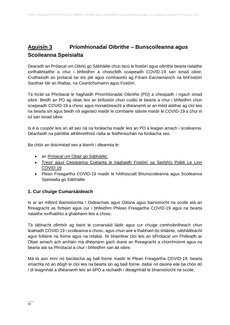# **Aguisín 3 Príomhionadaí Oibrithe – Bunscoileanna agus Scoileanna Speisialta**

Dearadh an Prótacal um Oibriú go Sábháilte chun tacú le fostóirí agus oibrithe bearta rialaithe ionfhabhtaithe a chur i bhfeidhm a choiscfidh scaipeadh COVID-19 san ionad oibre. Cruthaíodh an prótacal tar éis plé agus comhaontú ag Fóram Eacnamaíoch na bhFostóirí Saothair idir an Rialtas, na Ceardchumainn agus Fostóirí.

Tá foráil sa Phrótacal le haghaidh Príomhionadaí Oibrithe (PO) a cheapadh i ngach ionad oibre. Beidh an PO ag obair leis an bhfostóir chun cuidiú le bearta a chur i bhfeidhm chun scaipeadh COVID-19 a chosc agus monatóireacht a dhéanamh ar an méid atáthar ag cloí leis na bearta sin agus beidh ról aige/aici maidir le comhairle sláinte maidir le COVID-19 a chur in iúl san ionad oibre.

Is é is cuspóir leis an alt seo ná na forálacha maidir leis an PO a leagan amach i scoileanna. Déanfaidh na páirtithe athbhreithniú rialta ar feidhmiúchán na forálacha seo.

Ba chóir an doiciméad seo a léamh i dteannta le:

- an [Prótacal um Obair go Sábháilte;](https://www.gov.ie/ga/foilsiuchan/bb7fd-work-safely-protocol/)
- [Treoir agus Ceisteanna Coitianta le haghaidh Fostóirí sa Seirbhís Poiblí Le Linn](https://www.gov.ie/ga/nuacht/092fff-update-on-working-arrangements-and-leave-associated-with-covid-19-fo/)  [COVID-19;](https://www.gov.ie/ga/nuacht/092fff-update-on-working-arrangements-and-leave-associated-with-covid-19-fo/)
- Plean Freagartha COVID-19 maidir le hAthoscailt Bhunscoileanna agus Scoileanna Speisialta go Sábháilte

### **1. Cur chuige Cumarsáideach**

Is ar an mBord Bainistíochta / Oideachais agus Oiliúna agus bainistíocht na scoile atá an fhreagracht as forbairt agus cur i bhfeidhm Phlean Freagartha COVID-19 agus na bearta rialaithe ionfhabhtú a ghabhann leis a chosc.

Tá tábhacht ollmhór ag baint le cumarsáid láidir agus cur chuige comhoibritheach chun leathadh COVID-19 i scoileanna a chosc, agus chun aire a thabhairt do shláinte, sábháilteacht agus folláine na foirne agus na ndaltaí. Ní bhainfear cloí leis an bPrótacal um Fhilleadh ar Obair amach ach amháin má dhéanann gach duine an fhreagracht a chomhroinnt agus na bearta atá sa Phrótacal a chur i bhfeidhm san áit oibre.

Má tá aon imní nó barúlacha ag ball foirne maidir le Plean Freagartha COVID-19, bearta smachta nó an dóigh le cloí leis na bearta sin ag baill foirne, daltaí nó daoine eile ba chóir dó / di teagmháil a dhéanamh leis an bPO a rachaidh i dteagmháil le bhainistíocht na scoile.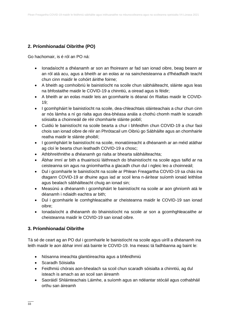### **2. Príomhionadaí Oibrithe (PO)**

Go hachomair, is é ról an PO ná:

- Ionadaíocht a dhéanamh ar son an fhoireann ar fad san ionad oibre, beag beann ar an ról atá acu, agus a bheith ar an eolas ar na saincheisteanna a d'fhéadfadh teacht chun cinn maidir le cohóirt áirithe foirne;
- A bheith ag comhoibriú le bainistíocht na scoile chun sábháilteacht, sláinte agus leas na bhfostaithe maidir le COVID-19 a chinntiú, a oiread agus is féidir;
- A bheith ar an eolas maidir leis an gcomhairle is déanaí ón Rialtas maidir le COVID-19;
- I gcomhpháirt le bainistíocht na scoile, dea-chleachtais sláinteachais a chur chun cinn ar nós lámha a ní go rialta agus dea-bhéasa anála a chothú chomh maith le scaradh sóisialta a choinneáil de réir chomhairle sláinte poiblí;
- Cuidiú le bainistíocht na scoile bearta a chur i bhfeidhm chun COVID-19 a chur faoi chois san ionad oibre de réir an Phrótacail um Oibriú go Sábháilte agus an chomhairle reatha maidir le sláinte phoiblí;
- I gcomhpháirt le bainistíocht na scoile, monatóireacht a dhéanamh ar an méid atáthar ag cloí le bearta chun leathadh COVID-19 a chosc;
- Athbhreithnithe a dhéanamh go rialta ar bhearta sábháilteachta;
- Ábhar imní ar bith a thuairisciú láithreach do bhainistíocht na scoile agus taifid ar na ceisteanna sin agus na gníomhartha a glacadh chun dul i ngleic leo a choinneáil;
- Dul i gcomhairle le bainistíocht na scoile ar Phlean Freagartha COVID-19 sa chás ina dtagann COVID-19 ar dhuine agus iad ar scoil lena n-áirítear suíomh ionaid leithlise agus bealach sábháilteacht chuig an ionad sin;
- Measúnú a dhéanamh i gcomhpháirt le bainistíocht na scoile ar aon ghníomh atá le déanamh i ndiaidh eachtra ar bith;
- Dul i gcomhairle le comhghleacaithe ar cheisteanna maidir le COVID-19 san ionad oibre;
- Ionadaíocht a dhéanamh do bhainistíocht na scoile ar son a gcomhghleacaithe ar cheisteanna maidir le COVID-19 san ionad oibre.

### **3. Príomhionadaí Oibrithe**

Tá sé de ceart ag an PO dul i gcomhairle le bainistíocht na scoile agus uiríll a dhéanamh ina leith maidir le aon ábhar imní atá bainte le COVID-19. Ina measc tá fadhbanna ag baint le:

- Nósanna imeachta glantóireachta agus a bhfeidhmiú
- Scaradh Sóisialta
- Feidhmiú chórais aon-bhealach sa scoil chun scaradh sóisialta a chinntiú, ag dul isteach is amach as an scoil san áireamh
- Saoráidí Shláinteachais Láimhe, a suíomh agus an ndéantar stócáil agus cothabháil orthu san áireamh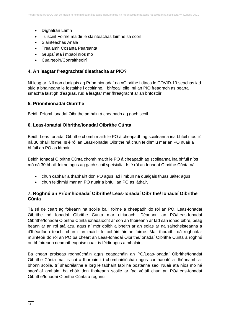- Díghalrán Lámh
- Tuiscint Foirne maidir le sláinteachas láimhe sa scoil
- Sláinteachas Anála
- Trealamh Cosanta Pearsanta
- Grúpaí atá i mbaol níos mó
- Cuairteoirí/Conraitheoirí

#### **4. An leagtar freagrachtaí dleathacha ar PIO?**

Ní leagtar. Níl aon dualgais ag Príomhionadaí na nOibrithe i dtaca le COVID-19 seachas iad siúd a bhaineann le fostaithe i gcoitinne. I bhfocail eile, níl an PIO freagrach as bearta smachta laistigh d'eagras, rud a leagtar mar fhreagracht ar an bhfostóir.

#### **5. Príomhionadaí Oibrithe**

Beidh Príomhionadaí Oibrithe amháin á cheapadh ag gach scoil.

#### **6. Leas-Ionadaí Oibrithe/Ionadaí Oibrithe Cúnta**

Beidh Leas-Ionadaí Oibrithe chomh maith le PO á cheapadh ag scoileanna ina bhfuil níos liú ná 30 bhaill foirne. Is é ról an Leas-Ionadaí Oibrithe ná chun feidhmiú mar an PO nuair a bhfuil an PO as láthair.

Beidh Ionadaí Oibrithe Cúnta chomh maith le PO á cheapadh ag scoileanna ina bhfuil níos mó ná 30 bhaill foirne agus ag gach scoil speisialta. Is é ról an Ionadaí Oibrithe Cúnta ná:

- chun cabhair a thabhairt don PO agus iad i mbun na dualgais thuasluaite; agus
- chun feidhmiú mar an PO nuair a bhfuil an PO as láthair.

#### **7. Roghnú an Príomhionadaí Oibrithe/ Leas-Ionadaí Oibrithe/ Ionadaí Oibrithe Cúnta**

Tá sé de ceart ag foireann na scoile baill foirne a cheapadh do ról an PO, Leas-Ionadaí Oibrithe nó Ionadaí Oibrithe Cúnta mar oiriúnach. Déanann an PO/Leas-Ionadaí Oibrithe/Ionadaí Oibrithe Cúnta ionadaíocht ar son an fhoireann ar fad san ionad oibre, beag beann ar an ról atá acu, agus ní mór dóibh a bheith ar an eolas ar na saincheisteanna a d'fhéadfadh teacht chun cinn maidir le cohóirt áirithe foirne. Mar thoradh, dá roghnófar múinteoir do ról an PO ba cheart an Leas-Ionadaí Oibrithe/Ionadaí Oibrithe Cúnta a roghnú ón bhfoireann neamhtheagaisc nuair is féidir agus a mhalairt.

Ba cheart próiseas roghnúcháin agus ceapacháin an PO/Leas-Ionadaí Oibrithe/Ionadaí Oibrithe Cúnta mar is cuí a fhorbairt trí chomhairliúchán agus comhaontú a dhéanamh ar bhonn scoile, trí shaorálaithe a lorg le tabhairt faoi na postanna seo. Nuair atá níos mó ná saorálaí amháin, ba chóir don fhoireann scoile ar fad vótáil chun an PO/Leas-Ionadaí Oibrithe/Ionadaí Oibrithe Cúnta a roghnú.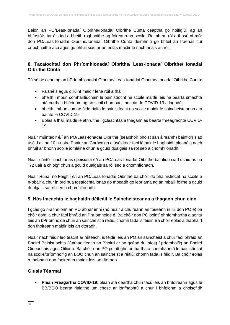Beidh an PO/Leas-Ionadaí Oibrithe/Ionadaí Oibrithe Cúnta ceaptha go hoifigiúil ag an bhfostóir, tar éis iad a bheith roghnaithe ag foireann na scoile. Roimh an ról a thosú ní mór don PO/Leas-Ionadaí Oibrithe/Ionadaí Oibrithe Cúnta deimhniú go bhfuil an traenáil cuí críochnaithe acu agus go bhfuil siad ar an eolas maidir le riachtanais an róil.

### **8. Tacaíochtaí don Phríomhionadaí Oibrithe/ Leas-Ionadaí Oibrithe/ Ionadaí Oibrithe Cúnta**

Tá sé de ceart ag an bPríomhionadaí Oibrithe/ Leas-Ionadaí Oibrithe/ Ionadaí Oibrithe Cúnta:

- Faisnéis agus oiliúint maidir lena róil a fháil;
- bheith i mbun comhairliúcháin le bainistíocht na scoile maidir leis na bearta smachta atá curtha i bhfeidhm ag an scoil chun baoil nochta do COVID-19 a laghdú;
- bheith i mbun cumarsáide rialta le bainistíocht na scoile maidir le saincheisteanna atá bainte le COVID-19;
- Eolas a fháil maidir le athruithe i gcleachtas a thagann as bearta fhreagrachta COVID-19;

Nuair múinteoir é/í an PO/Leas-Ionadaí Oibrithe (sealbhóir phoist san áireamh) bainfidh siad úsáid as na 10 n-uaire Pháirc an Chrócaigh a úsáidtear faoi láthair le haghaidh pleanála nach bhfuil ar bhonn scoile iomláine chun a gcuid dualgais sa ról seo a chomhlíonadh.

Nuair cúntóir riachtanas speisialta é/í an PO/Leas-Ionadaí Oibrithe bainfidh siad úsáid as na "72 uair a chloig" chun a gcuid dualgais sa ról seo a chomhlíonadh.

Nuair Rúnaí nó Feighlí é/í an PO/Leas-Ionadaí Oibrithe ba chóir do bhainistíocht na scoile a n-obair a chur in ord nua tosaíochta ionas go mbeadh go leor ama ag an mbaill foirne a gcuid dualgais sa ról seo a chomhlíonadh.

### **9. Nós Imeachta le haghaidh déileáil le Saincheisteanna a thagann chun cinn**

I gcás go n-aithníonn an PO ábhar imní (nó nuair a chuireann an foireann in iúl don PO é) ba chóir dó/di a chur faoi bhráid an Phríomhoide é. Ba chóir don PO pointí ghníomhartha a aontú leis an bPríomhoide chun an saincheist a réitiú, chomh fada is féidir. Ba chóir eolas a thabhairt don fhoireann maidir leis an dtoradh.

Nuair nach féidir leo teacht ar réiteach, is féidir leis an PO an saincheist a chur faoi bhráid an Bhoird Bainistíochta (Cathaoirleach an Bhoird ar an gcéad dul síos) / príomhoifig an Bhoird Oideachais agus Oiliúna. Ba chóir don PO pointí ghníomhartha a chomhaontú le bainistíocht na scoile/príomhoifig an BOO chun an saincheist a réitiú, chomh fada is féidir. Ba chóir eolas a thabhairt don fhoireann maidir leis an dtoradh.

#### **Gluais Téarmaí**

• **Plean Freagartha COVID-19**: plean atá deartha chun tacú leis an bhfoireann agus le BB/BOO bearta rialaithe um chosc ar ionfhabhtú a chur i bhfeidhm a choiscfidh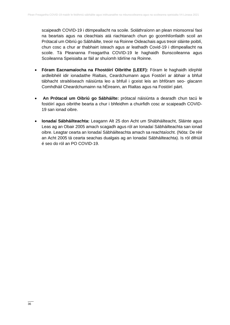scaipeadh COVID-19 i dtimpeallacht na scoile. Soláthraíonn an plean mionsonraí faoi na beartais agus na cleachtais atá riachtanach chun go gcomhlíonfaidh scoil an Prótacal um Oibriú go Sábháilte, treoir na Roinne Oideachais agus treoir sláinte poiblí, chun cosc a chur ar thabhairt isteach agus ar leathadh Covid-19 i dtimpeallacht na scoile. Tá Pleananna Freagartha COVID-19 le haghaidh Bunscoileanna agus Scoileanna Speisialta ar fáil ar shuíomh Idirlíne na Roinne.

- **Fóram Eacnamaíocha na Fhostóirí Oibrithe (LEEF):** Fóram le haghaidh idirphlé ardleibhéil idir ionadaithe Rialtais, Ceardchumann agus Fostóirí ar ábhair a bhfuil tábhacht straitéiseach náisiúnta leo a bhfuil i gceist leis an bhfóram seo- glacann Comhdháil Cheardchumainn na hÉireann, an Rialtas agus na Fostóirí páirt.
- **An Prótacal um Oibriú go Sábháilte:** prótacal náisiúnta a dearadh chun tacú le fostóirí agus oibrithe bearta a chur i bhfeidhm a chuirfidh cosc ar scaipeadh COVID-19 san ionad oibre.
- **Ionadaí Sábháilteachta:** Leagann Alt 25 don Acht um Shábháilteacht, Sláinte agus Leas ag an Obair 2005 amach scagadh agus ról an Ionadaí Sábháilteachta san ionad oibre. Leagtar cearta an Ionadaí Sábháilteachta amach sa reachtaíocht. (Nóta: De réir an Acht 2005 tá cearta seachas dualgais ag an Ionadaí Sábháilteachta). Is ról difriúil é seo do ról an PO COVID-19.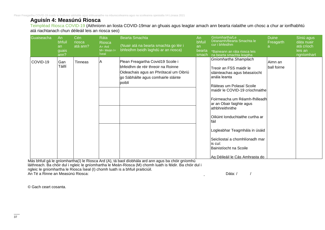Plean Freagartha COVID-19 maidir le feidhmiú sábháilte agus inbhuanaithe na mbunscoileanna agus na scoileanna speisialta V4 Lúnasa 2021

### **Aguisín 4: Measúnú Riosca**

Teimpléad Riosca COVID-19 (Aithníonn an liosta COVID-19mar an ghuais agus leagtar amach ann bearta rialaithe um chosc a chur ar ionfhabhtú atá riachtanach chun déileáil leis an riosca seo)

| Guaiseacha | An<br>bhfuil<br>an<br>guais<br>ann? | Cén<br>riosca<br>atá ann? | Ráta<br><b>Riosca</b><br>$A = Ard$<br>$M = Meán =$<br><b>Íseal</b> | Bearta Smachta<br>(Nuair atá na bearta smachta go léir i<br>bhfeidhm beidh laghdú ar an riosca)                                                                    | An<br>bhfuil<br>an<br>bearta<br>smach | Gníomhartha/Le<br>Déanamh/Bearta Smachta le<br>cur i bhfeidhm<br>*Baineann an ráta riosca leis<br>na bearta smachta leagtha                                                                                                                                                                                                                                                                                                              | <b>Duine</b><br>Freagarth | Síniú agus<br>dáta nuair<br>atá críoch<br>leis an<br>ngníomhart |
|------------|-------------------------------------|---------------------------|--------------------------------------------------------------------|--------------------------------------------------------------------------------------------------------------------------------------------------------------------|---------------------------------------|------------------------------------------------------------------------------------------------------------------------------------------------------------------------------------------------------------------------------------------------------------------------------------------------------------------------------------------------------------------------------------------------------------------------------------------|---------------------------|-----------------------------------------------------------------|
| COVID-19   | Gan<br>Táillí                       | Tinneas                   | IA                                                                 | Plean Freagartha Covid19 Scoile i<br>bhfeidhm de réir threoir na Roinne<br>Oideachais agus an Phrótacal um Oibriú<br>go Sábháilte agus comhairle sláinte<br>poiblí |                                       | Gníomhartha Shamplach<br>Treoir an FSS maidir le<br>sláinteachas agus béasaíocht<br>anála leanta<br>Ráiteas um Polasaí Scoile<br>maidir le COVID-19 críochnaithe<br>Foirmeacha um Réamh-fhilleadh<br>ar an Obair faighte agus<br>athbhreithnithe<br>lOiliúint Ionduchtaithe curtha ar<br>fáil<br>Logleabhar Teagmhála in úsáid<br>Seicliostaí a chomhlíonadh mar<br>lis cuí:<br>Bainistíocht na Scoile<br>Ag Déileáil le Cás Amhrasta do | Aimn an<br>ball foirne    |                                                                 |

Más bhfuil gá le gníomhartha(í) le Riosca Ard (A), tá baol díobhála ard ann agus ba chóir gníomhú láithreach. Ba chóir dul i ngleic le gníomhartha le Meán-Riosca (M) chomh luath is féidir. Ba chóir dul i ngleic le gníomhartha le Riosca Íseal (I) chomh luath is a bhfuil praiticiúil. An Té a Rinne an Measúnú Riosca: (1999) anns an t-aiste anns an t-aiste anns an t-aiste an Dáta: / 1990) anns an Dáta: / 1990

© Gach ceart cosanta.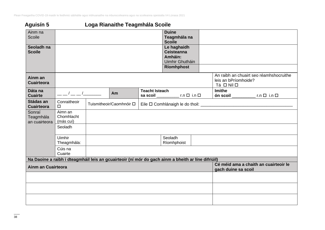Plean Freagartha COVID-19 maidir le feidhmiú sábháilte agus inbhuanaithe na mbunscoileanna agus na scoileanna speisialta V4 Lúnasa 2021

# **Aguisín 5 Loga Rianaithe Teagmhála Scoile**

| Ainm na<br>Scoile                    |                                                                                                    |  |                          |                       | <b>Duine</b><br>Teagmhála na<br><b>Scoile</b>                  |                     |                                       |                                         |  |
|--------------------------------------|----------------------------------------------------------------------------------------------------|--|--------------------------|-----------------------|----------------------------------------------------------------|---------------------|---------------------------------------|-----------------------------------------|--|
| Seoladh na<br><b>Scoile</b>          |                                                                                                    |  |                          |                       | Le haghaidh<br><b>Ceisteanna</b><br>Amháin:<br>Uimhir Ghutháin |                     |                                       |                                         |  |
|                                      |                                                                                                    |  |                          |                       | Ríomhphost                                                     |                     |                                       | An raibh an chuairt seo réamhshocruithe |  |
| Ainm an<br><b>Cuairteora</b>         |                                                                                                    |  |                          |                       |                                                                |                     | leis an bPríomhoide?<br>Tá □ Níl □    |                                         |  |
| Dáta na<br><b>Cuairte</b>            | $\sqrt{2}$                                                                                         |  | Am                       | <b>Teacht Isteach</b> |                                                                |                     | <b>Imithe</b>                         |                                         |  |
| Stádas an<br><b>Cuairteora</b>       | Conraitheoir<br>$\Box$                                                                             |  | Tuismitheoir/Caomhnóir □ |                       |                                                                |                     |                                       |                                         |  |
| Sonraí<br>Teagmhála<br>an cuairteora | Aimn an<br>Chomhlacht<br>(más cuí)                                                                 |  |                          |                       |                                                                |                     |                                       |                                         |  |
|                                      | Seoladh                                                                                            |  |                          |                       |                                                                |                     |                                       |                                         |  |
|                                      | Uimhir<br>Theagmhála:                                                                              |  |                          |                       | Seoladh<br>Ríomhphoist                                         |                     |                                       |                                         |  |
|                                      | Cúis na<br>Cuairte                                                                                 |  |                          |                       |                                                                |                     |                                       |                                         |  |
|                                      | Na Daoine a raibh i dteagmháil leis an gcuairteoir (ní mór do gach ainm a bheith ar líne difriúil) |  |                          |                       |                                                                |                     |                                       |                                         |  |
| <b>Ainm an Cuairteora</b>            |                                                                                                    |  |                          |                       |                                                                | gach duine sa scoil | Cé méid ama a chaith an cuairteoir le |                                         |  |
|                                      |                                                                                                    |  |                          |                       |                                                                |                     |                                       |                                         |  |
|                                      |                                                                                                    |  |                          |                       |                                                                |                     |                                       |                                         |  |
|                                      |                                                                                                    |  |                          |                       |                                                                |                     |                                       |                                         |  |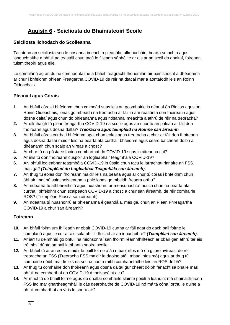# **Aguisín 6 - Seicliosta do Bhainisteoirí Scoile**

### **Seicliosta Ilchodach do Scoileanna**

Tacaíonn an seicliosta seo le nósanna imeachta pleanála, ullmhúcháin, bearta smachta agus ionduchtaithe a bhfuil ag teastáil chun tacú le filleadh sábháilte ar ais ar an scoil do dhaltaí, foireann, tuismitheoirí agus eile.

Le comhlánú ag an duine comhaontaithe a bhfuil freagracht fhoriomlán air bainistíocht a dhéanamh ar chur i bhfeidhm phlean Freagartha COVID-19 de réir na dtacaí mar a aontaíodh leis an Roinn Oideachais.

### **Pleanáil agus Córais**

- **1.** An bhfuil córas i bhfeidhm chun coimeád suas leis an gcomhairle is déanaí ón Rialtas agus ón Roinn Oideachais, ionas go mbeadh na treoracha ar fáil in am réasúnta don fhoireann agus dosna daltaí agus chun do phleananna agus nósanna imeachta a athrú de réir na treoracha?
- **2.** Ar ullmhaigh tú plean freagartha COVID-19 na scoile agus an chur tú an phlean ar fáil don fhoireann agus dosna daltaí? *Treoracha agus teimpléid na Roinne san áireamh*
- **3.** An bhfuil córas curtha i bhfeidhm agat chun eolas agus treoracha a chur ar fáil don fhoireann agus dosna daltaí maidir leis na bearta atá curtha i bhfeidhm agus céard ba cheart dóibh a dhéanamh chun scaip an víreas a chosc?
- **4.** Ar chur tú na póstaeir faoina comharthaí do COVID-19 suas in áiteanna cuí?
- **5.** Ar inis tú don fhoireann cuspóir an logleabhair teagmhála COVID-19?
- **6.** AN bhfuil logleabhar teagmhála COVID-19 in úsáid chun tacú le iarrachtaí rianaire an FSS, más gá? *(Teimpléad do Logleabhar Teagmhála san áireamh).*
- **7.** An thug tú eolas don fhoireann maidir leis na bearta agus ar chur tú córas i bhfeidhm chun ábhair imní nó saincheisteanna a phlé ionas go mbeidh freagra orthu?
- **8.** An ndearna tú athbhreithniú agus nuashonrú ar measúnachtaí riosca chun na bearta atá curtha i bhfeidhm chun scaipeadh COVID-19 a chosc a chur san áireamh, de réir comhairle ROS? (Teimpléad Riosca san áireamh).
- **9.** An ndearna tú nuashonrú ar phleananna éigeandála, más gá, chun an Plean Fhreagartha COVID-19 a chur san áireamh?

### **Foireann**

- **10.** An bhfuil foirm um fhilleadh ar obair COVID-19 curtha ar fáil agat do gach ball foirne le comhlánú agus le cur ar ais sula bhfillfidh siad ar an ionad oibre? *(Teimpléad san áireamh).*
- **11.** Ar iarr tú deimhniú go bhfuil na mionsonraí san fhoirm réamhfhillteach ar obair gan athrú tar éis tréimhsí dúnta amhail laethanta saoire scoile.
- **12.** An bhfuil tú ar an eolas maidir le baill foirne atá i mbaol níos mó ón gcoroinvíreas, de réir treoracha an FSS [\(Treoracha FSS maidir le daoine atá i mbaol níos mó\)](https://www2.hse.ie/gaeilge/coroinvireas/daoine-ata-i-mbaol-nios-mo-on-gcoroinvireas.html) agus ar thug tú comhairle dóibh maidir leis na socrúchán a raibh comhaontaithe leis an ROS dóibh?
- **13.** Ar thug tú comhairle don fhoireann agus dosna daltaí gur cheart dóibh fanacht sa bhaile más bhfuil na [comharthaí do COVID-19](https://www2.hse.ie/gaeilge/coroinvireas/comharthai-an-choroinviris.html) á thaispeáint acu?
- **14.** Ar mhol tú do bhaill foirne agus do dhaltaí comhairle sláinte poiblí a leanúint má shainaithníonn FSS iad mar ghartheagmháil le cás dearbhaithe de COVID-19 nó má tá cónaí orthu le duine a bhfuil comharthaí an víris le sonrú air?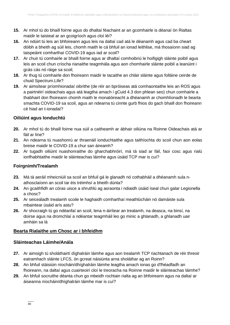- **15.** Ar mhol tú do bhaill foirne agus do dhaltaí féachaint ar an gcomhairle is déanaí ón Rialtas maidir le taisteal ar an gcoigríoch agus cloí léi?
- **16.** An ndúirt tú leis an bhfoireann agus leis na daltaí cad atá le déanamh agus cad ba cheart dóibh a bheith ag súil leis, chomh maith le cá bhfuil an ionad leithlise, má thosaíonn siad ag taispeáint comharthaí COVID-19 agus iad ar scoil?
- **17.** Ar chuir tú comhairle ar bhaill foirne agus ar dhaltaí comhoibriú le hoifigigh sláinte poiblí agus leis an scoil chun críocha rianaithe teagmhála agus aon chomhairle sláinte poiblí a leanúint i gcás cás nó ráige sa scoil;
- **18.** Ar thug tú comhairle don fhoireann maidir le tacaithe an chláir sláinte agus folláine ceirde de chuid Spectrum.Life?
- **19.** Ar aimsítear príomhionadaí oibrithe (de réir an bpróiseas atá comhaontaithe leis an ROS agus a pairtnéirí oideachais agus atá leagtha amach i gCuid 4.3 don phlean seo) chun comhairle a thabhairt don fhoireann chomh maith le monatóireacht a dhéanamh ar chomhlíonadh le bearta smachta COVID-19 sa scoil, agus an ndearna tú cinnte gurb fhios do gach bhaill don fhoireann cé hiad an t-ionadaí?

### **Oiliúint agus Ionduchtú**

- **20.** Ar mhol tú do bhaill foirne nua súil a caitheamh ar ábhair oiliúna na Roinne Oideachais atá ar fáil ar líne?
- **21.** An ndearna tú nuashonrú ar thraenáil ionduchtaithe agus taithíochta do scoil chun aon eolas breise maidir le COVID-19 a chur san áireamh?
- **22.** Ar tugadh oiliúint nuashonraithe do gharchabhróirí, má tá siad ar fáil, faoi cosc agus rialú ionfhabhtaithe maidir le sláinteachas láimhe agus úsáid TCP mar is cuí?

#### **Foirgnimh/Trealamh**

- **23.** Má tá aeráil mheicniúil sa scoil an bhfuil gá le glanadh nó cothabháil a dhéanamh sula nathosclaíonn an scoil tar éis tréimhsí a bheith dúnta?
- **24.** An gcaithfidh an córas uisce a shruthlú ag asraonta i ndiaidh úsáid íseal chun galar Legionella a chosc?
- **25.** Ar seiceáladh trealamh scoile le haghaidh comharthaí meathlúcháin nó damáiste sula mbaintear úsáid arís astu?
- **26.** Ar shocraigh tú go ndéanfaí an scoil, lena n-áirítear an trealamh, na deasca, na binsí, na doirse agus na dromchlaí a ndéantar teagmháil leo go minic a ghlanadh, a ghlanadh uair amháin sa lá

#### **Bearta Rialaithe um Chosc ar i bhfeidhm**

#### **Sláinteachas Láimhe/Anála**

- **27.** Ar aimsigh tú sholáthairtí díghalráin láimhe agus aon trealamh TCP riachtanach de réir threoir eatramhach sláinte LFCS, ón gcreat náisiúnta arna sholáthar ag an Roinn?
- **28.** An bhfuil stáisiúin níocháin/dhíghalráin láimhe leagtha amach ionas go d'fhéadfadh an fhoireann, na daltaí agus cuairteoirí cloí le treoracha na Roinne maidir le sláinteachas láimhe?
- **29.** An bhfuil socruithe déanta chun go mbeidh rochtain rialta ag an bhfoireann agus na daltaí ar áiseanna níocháin/dhíghalráin láimhe mar is cuí?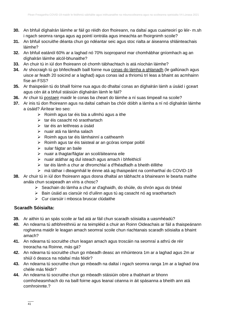- **30.** An bhfuil díghalrán láimhe ar fáil go réidh don fhoireann, na daltaí agus cuairteoirí go léir- m.sh i ngach seomra ranga agus ag pointí iontrála agus imeachta an fhoirgnimh scoile?
- **31.** An bhfuil socruithe déanta chun go ndéantar seic agus stoc rialta ar áiseanna shláinteachais láimhe?
- **32.** An bhfuil eatánól 60% ar a laghad nó 70% isopropanol mar chomhábhar gníomhach ag an díghalrán láimhe alcól-bhunaithe?
- **33.** An chuir tú in iúl don fhoireann cé chomh tábhachtach is atá níochán láimhe?
- **34.** Ar shocraigh tú go bhfeicfeadh baill foirne nua [conas do lámha a ghlanadh](https://www2.hse.ie/gaeilge/coroinvireas/conas-do-lamha-a-ghlanadh.html) (le gallúnach agus uisce ar feadh 20 soicind ar a laghad) agus conas iad a thriomú trí leas a bhaint as acmhainn físe an FSS?
- **35.** Ar thaispeáin tú do bhaill foirne nua agus do dhaltaí conas an díghalrán lámh a úsáid i gceart agus cén áit a bhfuil stáisiúin díghalráin lámh le fáil?
- **36.** Ar chuir tú [postaeir](https://www.gov.ie/ga/bailiuchan/12032f-covid-19/) maidir le conas ba cheart do láimhe a ní suas timpeall na scoile?
- **37.** Ar inis tú don fhoireann agus na daltaí cathain ba chóir dóibh a lámha a ní nó díghalrán láimhe a úsáid? Áirítear leo seo:
	- $\triangleright$  Roimh agus tar éis bia a ullmhú agus a ithe
	- ➢ tar éis casacht nó sraothartach
	- ➢ tar éis an leithreas a úsáid
	- ➢ nuair atá na lámha salach
	- ➢ Roimh agus tar éis lámhainní a caitheamh
	- ➢ Roimh agus tar éis taisteal ar an gcóras iompar poiblí
	- ➢ sular fágtar an baile
	- ➢ nuair a thagtar/fágtar an scoil/áiteanna eile
	- ➢ nuair atáthar ag dul isteach agus amach i bhfeithiclí
	- ➢ tar éis lámh a chur ar dhromchlaí a d'fhéadfadh a bheith éillithe
	- ➢ má táthar i dteagmháil le éinne atá ag thaispeáint na comharthaí do COVID-19
- **38.** Ar chuir tú in iúl don fhoireann agus dosna dhaltaí an tábhacht a bhaineann le bearta maithe anála chun scaipeadh an víris a chosc?
	- ➢ Seachain do lámha a chur ar d'aghaidh, do shúile, do shrón agus do bhéal
	- ➢ Bain úsáid as ciarsúir nó d'uilinn agus tú ag casacht nó ag sraothartach
	- ➢ Cur ciarsúir i mbosca bruscar clúdaithe

### **Scaradh Sóisialta:**

- **39.** Ar aithin tú an spás scoile ar fad atá ar fáil chun scaradh sóisialta a uasmhéadú?
- **40.** An ndearna tú athbhreithniú ar na teimpléid a chuir an Roinn Oideachais ar fáil a thaispeánann roghanna maidir le leagan amach seomraí scoile chun riachtanais scaradh sóisialta a bhaint amach?
- **41.** An ndearna tú socruithe chun leagan amach agus troscáin na seomraí a athrú de réir treoracha na Roinne, más gá?
- **42.** An ndearna tú socruithe chun go mbeadh deasc an mhúinteora 1m ar a laghad agus 2m ar shiúl ó deasca na ndaltaí más féidir?
- **43.** An ndearna tú socruithe chun go mbeadh na daltaí i ngach seomra ranga 1m ar a laghad óna chéile más féidir?
- **44.** An ndearna tú socruithe chun go mbeadh stáisiúin oibre a thabhairt ar bhonn comhsheasmhach do na baill foirne agus leanaí céanna in áit spásanna a bheith ann atá comhroinnte.?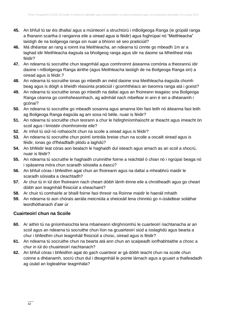- **45.** An bhfuil tú tar éis dhaltaí agus a múinteoirí a struchtúrú i mBoilgeoga Ranga (ie grúpáil ranga a fhanann scartha ó ranganna eile a oiread agus is féidir) agus foghrúpaí nó "Meithleacha" laistigh de na boilgeoga ranga sin nuair a bhíonn sé seo praiticiúil?
- **46.** Má dhéantar an rang a roinnt ina Meithleacha, an ndearna tú cinnte go mbeadh 1m ar a laghad idir Meithleacha éagsula sa bhoilgeog ranga agus idir na daoine sa Mheitheal más féidir?
- **47.** An ndearna tú socruithe chun teagmháil agus comhroinnt áiseanna comónta a theorannú idir daoine i mBoilgeoga Ranga áirithe (agus Meithleacha laistigh de na Boilgeoga Ranga sin) a oiread agus is féidir,?
- **48.** An ndearna tú socruithe ionas go mbeidh an méid daoine sna Meithleacha éagsúla chomh beag agus is dóigh a bheidh réasúnta praiticiúil i gcomhthéacs an tseomra ranga atá i gceist?
- **49.** An ndearna tú socruithe ionas go mbeidh na daltaí agus an fhoireann teagaisc sna Boilgeoga Ranga céanna go comhsheasmhach, ag admháil nach mbeifear in ann é sin a dhéanamh i gcónaí?
- **50.** An ndearna tú socruithe go mbeadh sosanna agus amanna lóin faoi leith nó áiteanna faoi leith ag Boilgeoga Ranga éagsúla ag am sosa nó béile, nuair is féidir?
- **51.** An ndearna tú socruithe chun teorann a chur le hidirghníomhaíocht ar theacht agus imeacht ón scoil agus i limistéir chomhroinnte eile?
- **52.** Ar mhol tú siúl nó rothaíocht chun na scoile a oiread agus is féidir?
- **53.** An ndearna tú socruithe chun pointí iontrála breise chun na scoile a oscailt oiread agus is féidir, ionas go d'fhéadfadh plódú a laghdú?
- **54.** An bhféidir leat córas aon bealach le haghaidh dul isteach agus amach as an scoil a shocrú, nuair is féidir?
- **55.** An ndearna tú socruithe le haghaidh cruinnithe foirne a reáchtáil ó chian nó i ngrúpaí beaga nó i spásanna móra chun scaradh sóisialta a éascú?
- **56.** An bhfuil córas i bhfeidhm agat chun an fhoireann agus na daltaí a mheabhrú maidir le scaradh sóisialta a cleachtadh?
- **57.** Ar chur tú in iúl don fhoireann nach cheart dóibh lámh éinne eile a chroitheadh agus go cheart dóibh aon teagmháil fhisiciúil a sheachaint?
- **58.** Ar chuir tú comhairle ar bhaill foirne faoi threoir na Roinne maidir le haeráil mhaith
- **59.** An ndearna tú aon chórais aerála meicniúla a sheiceáil lena chinntiú go n-úsáidtear soláthar leordhóthanach d'aer úr

### **Cuairteoirí chun na Scoile**

- **60.** Ar aithin tú na gníomhaíochta lena mbaineann idirghníomhú le cuairteoirí riachtanacha ar an scoil agus an ndearna tú socruithe chun líon na gcuairteoirí siúd a íoslaghdú agus bearta a chur i bhfeidhm chun teagmháil fhisiciúil a chosc, oiread agus is féidir?
- **61.** An ndearna tú socruithe chun na bearta atá ann chun an scaipeadh ionfhabhtaithe a chosc a chur in iúl do chuairteoirí riachtanach?
- **62.** An bhfuil córas i bhfeidhm agat do gach cuairteoir ar gá dóibh teacht chun na scoile chun coinne a dhéanamh, socrú chun dul i dteagmháil le pointe lárnach agus a gcuairt a thaifeadadh ag úsáid an logleabhar teagmhála?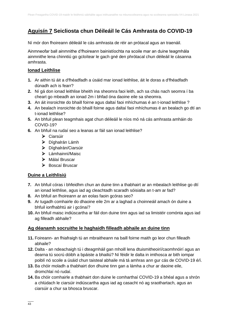# **Aguisín 7 Seicliosta chun Déileáil le Cás Amhrasta do COVID-19**

Ní mór don fhoireann déileáil le cás amhrasta de réir an prótacal agus an traenáil.

Ainmneofar ball ainmnithe d'fhoireann bainistíochta na scoile mar an duine teagmhála ainmnithe lena chinntiú go gcloítear le gach gné den phrótacal chun déileáil le cásanna amhrasta.

### **Ionad Leithlise**

- **1.** Ar aithin tú áit a d'fhéadfadh a úsáid mar ionad leithlise, áit le doras a d'fhéadfadh dúnadh ach is fearr?
- **2.** Ní gá don ionad leithlise bheith ina sheomra faoi leith, ach sa chás nach seomra í ba cheart go mbeadh an ionad 2m i bhfad óna daoine eile sa sheomra.
- **3.** An áit insroichte do bhaill foirne agus daltaí faoi mhíchumas é an t-ionad leithlise ?
- **4.** An bealach insroichte do bhaill foirne agus daltaí faoi mhíchumas é an bealach go dtí an t-ionad leithlise?
- **5.** An bhfuil plean teagmhais agat chun déileáil le níos mó ná cás amhrasta amháin do COVID-19?
- **6.** An bhfuil na rudaí seo a leanas ar fáil san ionad leithlise?
	- ➢ Ciarsúir
	- ➢ Díghalrán Lámh
	- ➢ Díghalrán/Ciarsúir
	- ➢ Lámhainní/Maisc
	- ➢ Málaí Bruscar
	- ➢ Boscaí Bruscar

### **Duine a Leithlisiú**

- **7.** An bhfuil córas i bhfeidhm chun an duine tinn a thabhairt ar an mbealach leithlise go dtí an ionad leithlise, agus iad ag cleachtadh scaradh sóisialta an t-am ar fad?
- **8.** An bhfuil an fhoireann ar an eolas faoin gcóras seo?
- **9.** Ar tugadh comhairle do dhaoine eile 2m ar a laghad a choinneáil amach ón duine a bhfuil ionfhabhtú air i gcónaí?
- **10.** An bhfuil maisc indiúscartha ar fáil don duine tinn agus iad sa limistéir comónta agus iad ag filleadh abhaile?

### **Ag déanamh socruithe le haghaidh filleadh abhaile an duine tinn**

- **11.** Foireann- an fhiafraigh tú an mbraitheann na baill foirne maith go leor chun filleadh abhaile?
- **12.** Dalta an ndeachaigh tú i dteagmháil gan mhoill lena dtuismitheoirí/caomhnóirí agus an dearna tú socrú dóibh a bpáiste a bhailiú? Ní féidir le dalta in imthosca ar bith iompar poiblí nó scoile a úsáid chun taisteal abhaile má tá amhras ann gur cás de COVID-19 é/í.
- **13.** Ba chóir moladh a thabhairt don dhuine tinn gan a lámha a chur ar daoine eile, dromchlaí nó rudaí.
- **14.** Ba chóir comhairle a thabhairt don duine le comharthaí COVID-19 a bhéal agus a shrón a chlúdach le ciarsúir indiúscartha agus iad ag casacht nó ag sraothartach, agus an ciarsúir a chur sa bhosca bruscar.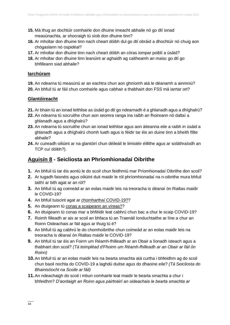- **15.** Má thug an dochtúir comhairle don dhuine imeacht abhaile nó go dtí ionad measúnachta, ar shocraigh tú síob don dhuine tinn?
- **16.** Ar mholtar don dhuine tinn nach cheart dóibh dul go dtí obráid a dhochtúir nó chuig aon chógaslann nó ospidéal?
- **17.** Ar mholtar don dhuine tinn nach cheart dóibh an córas iompar poiblí a úsáid?
- **18.** Ar mholtar don dhuine tinn leanúint ar aghaidh ag caitheamh an maisc go dtí go bhfilleann siad abhaile?

#### **Iarchúram**

**19.** An ndearna tú measúnú ar an eachtra chun aon ghníomh atá le déanamh a ainmniú?

**20.** An bhfuil tú ar fáil chun comhairle agus cabhair a thabhairt don FSS má iarrtar ort?

#### **Glantóireacht**

- **21.** Ar bhain tú an ionad leithlise as úsáid go dtí go ndearnadh é a ghlanadh agus a dhíghalrú?
- **22.** An ndearna tú socruithe chun aon seomra ranga ina raibh an fhoireann nó daltaí a ghlanadh agus a dhíghalrú?
- **23.** An ndearna tú socruithe chun an ionad leithlise agus aon áiteanna eile a raibh in úsáid a ghlanadh agus a dhíghalrú chomh luath agus is féidir tar éis an duine tinn a bheith fillte abhaile?
- **24.** Ar cuireadh oiliúint ar na glantóirí chun déileáil le limistéir éillithe agus ar soláthraíodh an TCP cuí dóibh?).

### **Aguisín 8 - Seicliosta an Phríomhionadaí Oibrithe**

- **1.** An bhfuil tú tar éis aontú le do scoil chun feidhmiú mar Príomhionadaí Oibrithe don scoil?
- **2.** Ar tugadh faisnéis agus oiliúint duit maidir le ról phríomhionadaí na n-oibrithe mura bhfuil taithí ar bith agat ar an ról?
- **3.** An bhfuil tú ag coimeád ar an eolas maidir leis na treoracha is déanaí ón Rialtas maidir le COVID-19?
- **4.** An bhfuil tuiscint agat ar [chomharthaí COVID-19??](https://www2.hse.ie/gaeilge/coroinvireas/comharthai-an-choroinviris.html)
- **5.** An dtuigeann tú [conas a scaipeann an víreas??](https://www2.hse.ie/gaeilge/coroinvireas/conas-a-scaiptear-an-coroinvireas.html)
- **6.** An dtuigeann tú conas mar a bhféidir leat cabhrú chun bac a chur le scaip COVID-19?
- **7.** Roimh filleadh ar ais ar scoil an bhfaca tú an Traenáil Ionduchtaithe ar líne a chur an Roinn Oideachais ar fáil agus ar thuig tú é?
- **8.** An bhfuil tú ag cabhrú le do chomhoibrithe chun coimeád ar an eolas maidir leis na treoracha is déanaí ón Rialtas maidir le COVID-19?
- **9.** An bhfuil tú tar éis an Foirm um Réamh-fhilleadh ar an Obair a líonadh isteach agus a thabhairt don scoil? *(Tá teimpléad d'Fhoirm um Réamh-fhilleadh ar an Obair ar fáil ón Roinn)*
- **10.**An bhfuil tú ar an eolas maidir leis na bearta smachta atá curtha i bhfeidhm ag do scoil chun baoil nochta do COVID-19 a laghdú duitse agus do dhaoine eile? *(Tá Seicliosta do Bhainistíocht na Scoile ar fáil)*
- **11.**An ndeachaigh do scoil i mbun comhairle leat maidir le bearta smachta a chur i bhfeidhm? *D'aontaigh an Roinn agus páirtnéirí an oideachais le bearta smachta ar*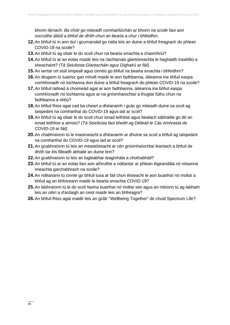*bhonn lárnach. Ba chóir go mbeadh comhairliúchán ar bhonn na scoile faoi aon socruithe áitiúil a bhfuil de dhíth chun an bearta a chur i bhfeidhm.*

- **12.**An bhfuil tú in ann dul i gcumarsáid go rialta leis an duine a bhfuil freagrach do phlean COVID-19 na scoile?
- **13.**An bhfuil tú ag obair le do scoil chun na bearta smachta a chaomhnú?
- **14.**An bhfuil tú ar an eolas maidir leis na riachtanais glantóireachta le haghaidh traséilliú a sheachaint? *(Tá Seicliosta Glantacháin agus Díghalrú ar fáil)*
- **15.**An iarrtar ort siúil timpeall agus cinntiú go bhfuil na bearta smachta i bhfeidhm?
- **16.**An dtugann tú tuairisc gan mhoill maidir le aon fadhbanna, áiteanna ina bhfuil easpa comhlíonadh nó lochtanna don duine a bhfuil freagrach do phlean COVID-19 na scoile?
- **17.**An bhfuil taifead á choimeád agat ar aon fadhbanna, áiteanna ina bhfuil easpa comhlíonadh nó lochtanna agus ar na gníomhaíochtaí a thugtar fúthu chun na fadhbanna a réitiú?
- **18.**An bhfuil fhios agat cad ba cheart a dhéanamh i gcás go mbeadh duine sa scoil ag taispeáint na comharthaí do COVID-19 agus iad ar scoil?
- **19.**An bhfuil tú ag obair le do scoil chun ionad leithlise agus bealach sábháilte go dtí an ionad leithlise a aimsiú? *(Tá Seicliosta faoi bheith ag Déileáil le Cás Amhrasta do COVID-19 ar fáil)*
- **20.**An chabhraíonn tú le maoirseacht a dhéanamh ar dhuine sa scoil a bhfuil ag taispeáint na comharthaí do COVID-19 agus iad ar scoil?
- **21.**An gcabhraíonn tú leis an meastóireacht ar cén gníomhaíochtaí leantach a bhfuil de dhíth tar éis filleadh abhaile an duine tinn?
- **22.**An gcabhraíonn tú leis an logleabhar teagmhála a chothabháil?
- **23.**An bhfuil tú ar an eolas faoi aon athruithe a ndéantar ar phlean éigeandála nó nósanna imeachta garchabhrach na scoile?
- **24.**An ndéanann tú cinnte go bhfuil tusa ar fáil chun éisteacht le aon buarthaí nó moltaí a bhfuil ag an bhfoireann maidir le bearta smachta COVID-19?
- **25.**An labhraíonn tú le do scoil faoina buarthaí nó moltaí seo agus an mbíonn tú ag labhairt leis an oibrí a d'ardaigh an ceist maidir leis an bhfreagra?
- **26.**An bhfuil fhios agat maidir leis an gclár "Wellbeing Together" de chuid Spectrum Life?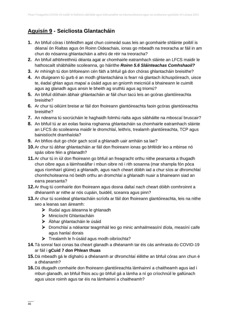# **Aguisín 9 - Seicliosta Glantacháin**

- **1.** An bhfuil córas i bhfeidhm agat chun coimeád suas leis an gcomhairle shláinte poiblí is déanaí ón Rialtas agus ón Roinn Oideachais, ionas go mbeadh na treoracha ar fáil in am chun do nósanna ghlantacháin a athrú de réir na treoracha?
- **2.** An bhfuil athbhreithniú déanta agat ar chomhairle eatramhach sláinte an LFCS maidir le hathoscailt shábháilte scoileanna, go háirithe *Roinn 5.6 Sláinteachas Comhshaoil?*
- **3.** Ar mhínigh tú don bhfoireann cén fáth a bhfuil gá don chóras ghlantacháin breisithe?
- **4.** An dtuigeann tú gurb é an modh ghlantacháina is fearr ná glantach ilchuspóireach, uisce te, éadaí ghlan agus mapaí a úsáid agus an gníomh meicniúil a bhaineann le cuimilt agus ag glanadh agus ansin le bheith ag sruthlú agus ag triomú?
- **5.** An bhfuil dóthain ábhair ghlantacháin ar fáil chun tacú leis an gcóras glantóireachta breisithe?
- **6.** Ar chur tú oiliúint breise ar fáil don fhoireann glantóireachta faoin gcóras glantóireachta breisithe?
- **7.** An ndearna tú socrúcháin le haghaidh folmhú rialta agus sábháilte na mboscaí bruscair?
- **8.** An bhfuil tú ar an eolas faoina roghanna ghlantacháin sa chomhairle eatramhach sláinte an LFCS do scoileanna maidir le dromchlaí, leithris, trealamh glantóireachta, TCP agus bainistíocht dramhaíola?
- **9.** An bhfios duit go chóir gach scoil a ghlanadh uair amháin sa lae?
- **10.**Ar chur tú ábhar ghlantacháin ar fáil don fhoireann ionas go bhféidir leo a mbinse nó spás oibre féin a ghlanadh?
- **11.**Ar chur tú in iúl don fhoireann go bhfuil an freagracht orthu nithe pearsanta a thugadh chun oibre agus a láimhseálfar i mbun oibre nó i rith sosanna (mar shampla fón póca agus ríomhairí glúine) a ghlanadh, agus nach cheart dóibh iad a chur síos ar dhromchlaí chomhchoiteanna nó beidh orthu an dromchlaí a ghlanadh nuair a bhaineann siad an earra pearsanta?
- **12.**Ar thug tú comhairle don fhoireann agus dosna daltaí nach cheart dóibh comhroinnt a dhéanamh ar nithe ar nós cupáin, buidéil, sceanra agus pinn?
- **13.**Ar chur tú sceideal ghlantacháin scríofa ar fáil don fhoireann glantóireachta, leis na nithe seo a leanas san áireamh:
	- ➢ Rudaí agus áiteanna le ghlanadh
	- ➢ Minicíocht Ghlantacháin
	- ➢ Ábhar ghlantacháin le úsáid
	- ➢ Dromchlaí a ndéantar teagmháil leo go minic amhailmeasíní díola, measíní caife agus hanlaí dorais
	- ➢ Trealamh le h-úsáid agus modh oibríochta?
- **14.**Tá sonraí faoi conas ba cheart glanadh a dhéanamh tar éis cás amhrasta do COVID-19 ar fáil i **gCuid 7 don Phlean thuas**
- **15.**Dá mbeadh gá le díghalrú a dhéanamh ar dhromchlaí éillithe an bhfuil córas ann chun é a dhéanamh?
- **16.**Dá dtugadh comhairle don fhoireann glantóireachta lámhainní a chaitheamh agus iad i mbun glanadh, an bhfuil fhios acu go bhfuil gá a lámha a ní go críochnúil le gallúnach agus uisce roimh agus tar éis na lámhainní a chaitheamh?